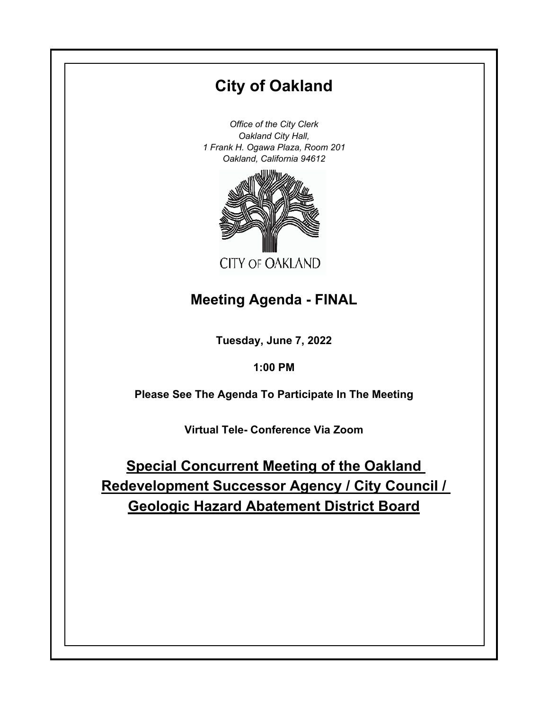# **City of Oakland**

*Office of the City Clerk Oakland City Hall, 1 Frank H. Ogawa Plaza, Room 201 Oakland, California 94612*



# **Meeting Agenda - FINAL**

**Tuesday, June 7, 2022**

**1:00 PM**

**Please See The Agenda To Participate In The Meeting**

**Virtual Tele- Conference Via Zoom**

**Special Concurrent Meeting of the Oakland Redevelopment Successor Agency / City Council / Geologic Hazard Abatement District Board**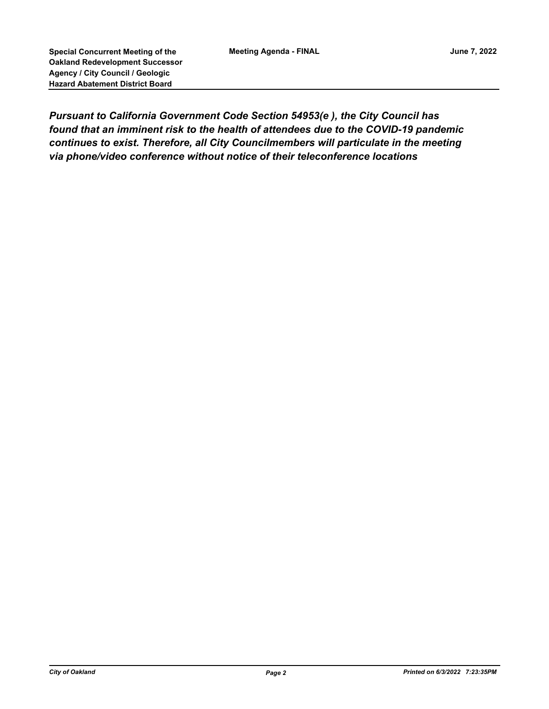*Pursuant to California Government Code Section 54953(e ), the City Council has found that an imminent risk to the health of attendees due to the COVID-19 pandemic continues to exist. Therefore, all City Councilmembers will particulate in the meeting via phone/video conference without notice of their teleconference locations*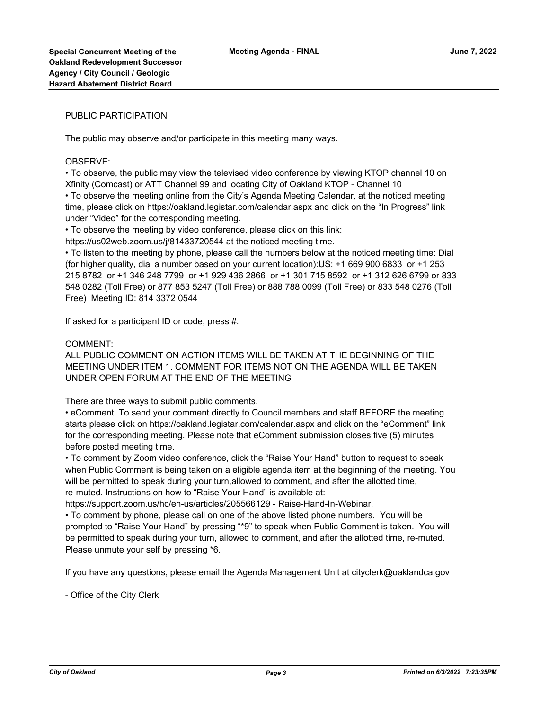### PUBLIC PARTICIPATION

The public may observe and/or participate in this meeting many ways.

#### OBSERVE:

• To observe, the public may view the televised video conference by viewing KTOP channel 10 on Xfinity (Comcast) or ATT Channel 99 and locating City of Oakland KTOP - Channel 10 • To observe the meeting online from the City's Agenda Meeting Calendar, at the noticed meeting time, please click on https://oakland.legistar.com/calendar.aspx and click on the "In Progress" link under "Video" for the corresponding meeting.

• To observe the meeting by video conference, please click on this link:

https://us02web.zoom.us/j/81433720544 at the noticed meeting time.

• To listen to the meeting by phone, please call the numbers below at the noticed meeting time: Dial (for higher quality, dial a number based on your current location):US: +1 669 900 6833 or +1 253 215 8782 or +1 346 248 7799 or +1 929 436 2866 or +1 301 715 8592 or +1 312 626 6799 or 833 548 0282 (Toll Free) or 877 853 5247 (Toll Free) or 888 788 0099 (Toll Free) or 833 548 0276 (Toll Free) Meeting ID: 814 3372 0544

If asked for a participant ID or code, press #.

#### COMMENT:

ALL PUBLIC COMMENT ON ACTION ITEMS WILL BE TAKEN AT THE BEGINNING OF THE MEETING UNDER ITEM 1. COMMENT FOR ITEMS NOT ON THE AGENDA WILL BE TAKEN UNDER OPEN FORUM AT THE END OF THE MEETING

There are three ways to submit public comments.

• eComment. To send your comment directly to Council members and staff BEFORE the meeting starts please click on https://oakland.legistar.com/calendar.aspx and click on the "eComment" link for the corresponding meeting. Please note that eComment submission closes five (5) minutes before posted meeting time.

• To comment by Zoom video conference, click the "Raise Your Hand" button to request to speak when Public Comment is being taken on a eligible agenda item at the beginning of the meeting. You will be permitted to speak during your turn,allowed to comment, and after the allotted time, re-muted. Instructions on how to "Raise Your Hand" is available at:

https://support.zoom.us/hc/en-us/articles/205566129 - Raise-Hand-In-Webinar.

• To comment by phone, please call on one of the above listed phone numbers. You will be prompted to "Raise Your Hand" by pressing "\*9" to speak when Public Comment is taken. You will be permitted to speak during your turn, allowed to comment, and after the allotted time, re-muted. Please unmute your self by pressing \*6.

If you have any questions, please email the Agenda Management Unit at cityclerk@oaklandca.gov

- Office of the City Clerk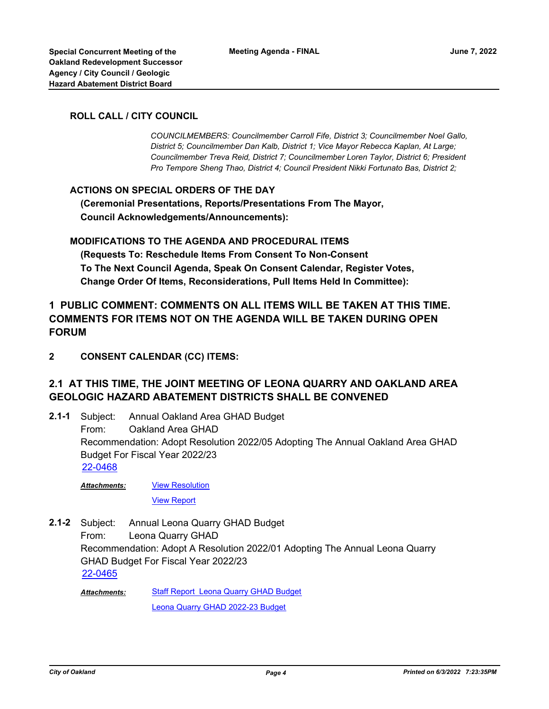### **ROLL CALL / CITY COUNCIL**

*COUNCILMEMBERS: Councilmember Carroll Fife, District 3; Councilmember Noel Gallo, District 5; Councilmember Dan Kalb, District 1; Vice Mayor Rebecca Kaplan, At Large; Councilmember Treva Reid, District 7; Councilmember Loren Taylor, District 6; President Pro Tempore Sheng Thao, District 4; Council President Nikki Fortunato Bas, District 2;*

### **ACTIONS ON SPECIAL ORDERS OF THE DAY**

 **(Ceremonial Presentations, Reports/Presentations From The Mayor, Council Acknowledgements/Announcements):**

### **MODIFICATIONS TO THE AGENDA AND PROCEDURAL ITEMS**

 **(Requests To: Reschedule Items From Consent To Non-Consent To The Next Council Agenda, Speak On Consent Calendar, Register Votes, Change Order Of Items, Reconsiderations, Pull Items Held In Committee):**

## **1 PUBLIC COMMENT: COMMENTS ON ALL ITEMS WILL BE TAKEN AT THIS TIME. COMMENTS FOR ITEMS NOT ON THE AGENDA WILL BE TAKEN DURING OPEN FORUM**

**2 CONSENT CALENDAR (CC) ITEMS:**

## **2.1 AT THIS TIME, THE JOINT MEETING OF LEONA QUARRY AND OAKLAND AREA GEOLOGIC HAZARD ABATEMENT DISTRICTS SHALL BE CONVENED**

Annual Oakland Area GHAD Budget From: Oakland Area GHAD Recommendation: Adopt Resolution 2022/05 Adopting The Annual Oakland Area GHAD Budget For Fiscal Year 2022/23 **2.1-1** [22-0468](http://oakland.legistar.com/gateway.aspx?m=l&id=/matter.aspx?key=33389)

[View Resolution](http://oakland.legistar.com/gateway.aspx?M=F&ID=7bc15e5d-c5a1-44a3-b400-1217dd7da7c1.pdf) *Attachments:*

[View Report](http://oakland.legistar.com/gateway.aspx?M=F&ID=7a900bee-1a1f-4ecb-93dc-36f91b86dc2f.pdf)

Annual Leona Quarry GHAD Budget From: Leona Quarry GHAD Recommendation: Adopt A Resolution 2022/01 Adopting The Annual Leona Quarry GHAD Budget For Fiscal Year 2022/23 **2.1-2** [22-0465](http://oakland.legistar.com/gateway.aspx?m=l&id=/matter.aspx?key=33386)

**[Staff Report Leona Quarry GHAD Budget](http://oakland.legistar.com/gateway.aspx?M=F&ID=0bc518e6-7532-41d7-8082-774ab4a41071.pdf)** [Leona Quarry GHAD 2022-23 Budget](http://oakland.legistar.com/gateway.aspx?M=F&ID=d8fc6434-187b-446c-9ce4-8f062e9fb79e.pdf) *Attachments:*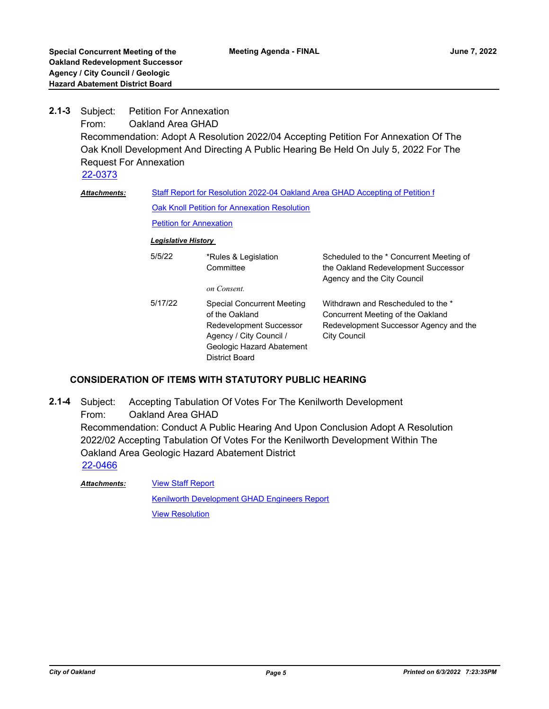**Petition For Annexation** From: Oakland Area GHAD Recommendation: Adopt A Resolution 2022/04 Accepting Petition For Annexation Of The Oak Knoll Development And Directing A Public Hearing Be Held On July 5, 2022 For The Request For Annexation **2.1-3** [22-0373](http://oakland.legistar.com/gateway.aspx?m=l&id=/matter.aspx?key=33294) [Staff Report for Resolution 2022-04 Oakland Area GHAD Accepting of Petition f](http://oakland.legistar.com/gateway.aspx?M=F&ID=a6852c6d-1bda-42c4-b96a-dd6e0c8279b1.pdf) [Oak Knoll Petition for Annexation Resolution](http://oakland.legistar.com/gateway.aspx?M=F&ID=a277dc8a-7dfa-4327-878e-2d4bf106714d.pdf) **[Petition for Annexation](http://oakland.legistar.com/gateway.aspx?M=F&ID=14094ced-d97d-4fbf-81bf-5a9eae651fd8.pdf)** *Attachments: Legislative History*  5/5/22 \*Rules & Legislation **Committee** Scheduled to the \* Concurrent Meeting of the Oakland Redevelopment Successor Agency and the City Council *on Consent.* 5/17/22 Special Concurrent Meeting of the Oakland Withdrawn and Rescheduled to the \* Concurrent Meeting of the Oakland

| 5/5/22  | *Rules & Legislation<br>Committee<br>on Consent.                                                                                                  | Scheduled to the * Concurrent Meeting of<br>the Oakland Redevelopment Successor<br>Agency and the City Council                           |
|---------|---------------------------------------------------------------------------------------------------------------------------------------------------|------------------------------------------------------------------------------------------------------------------------------------------|
| 5/17/22 | Special Concurrent Meeting<br>of the Oakland<br>Redevelopment Successor<br>Agency / City Council /<br>Geologic Hazard Abatement<br>District Board | Withdrawn and Rescheduled to the *<br>Concurrent Meeting of the Oakland<br>Redevelopment Successor Agency and the<br><b>City Council</b> |

## **CONSIDERATION OF ITEMS WITH STATUTORY PUBLIC HEARING**

Accepting Tabulation Of Votes For The Kenilworth Development From: Oakland Area GHAD Recommendation: Conduct A Public Hearing And Upon Conclusion Adopt A Resolution 2022/02 Accepting Tabulation Of Votes For the Kenilworth Development Within The Oakland Area Geologic Hazard Abatement District **2.1-4** [22-0466](http://oakland.legistar.com/gateway.aspx?m=l&id=/matter.aspx?key=33387)

**[View Staff Report](http://oakland.legistar.com/gateway.aspx?M=F&ID=0815ff0a-0efb-4c30-93dd-68cb8e599340.pdf)** [Kenilworth Development GHAD Engineers Report](http://oakland.legistar.com/gateway.aspx?M=F&ID=aa8706da-d186-4594-b097-809d5d9ad36c.pdf) [View Resolution](http://oakland.legistar.com/gateway.aspx?M=F&ID=fabda9b2-70d4-4a0a-988b-9e2c539332f4.pdf) *Attachments:*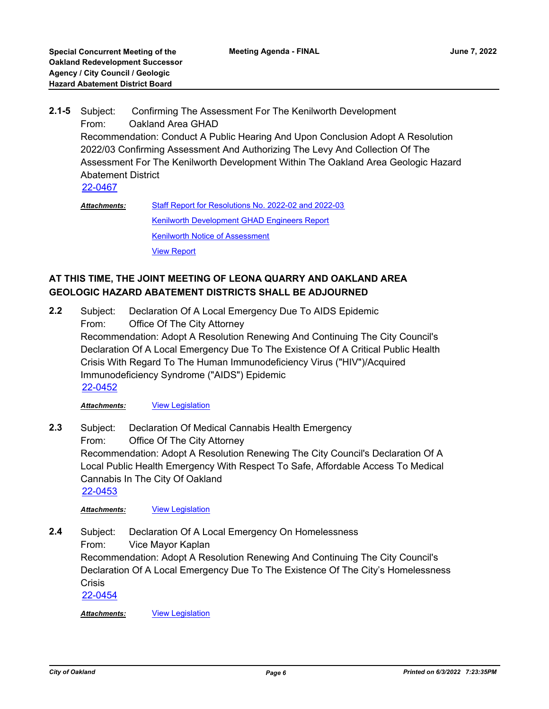- Subject: Confirming The Assessment For The Kenilworth Development From: Oakland Area GHAD Recommendation: Conduct A Public Hearing And Upon Conclusion Adopt A Resolution 2022/03 Confirming Assessment And Authorizing The Levy And Collection Of The Assessment For The Kenilworth Development Within The Oakland Area Geologic Hazard Abatement District **2.1-5** [22-0467](http://oakland.legistar.com/gateway.aspx?m=l&id=/matter.aspx?key=33388)
	- [Staff Report for Resolutions No. 2022-02 and 2022-03](http://oakland.legistar.com/gateway.aspx?M=F&ID=23d957dd-8ce0-400d-bee8-c98c68233452.pdf) [Kenilworth Development GHAD Engineers Report](http://oakland.legistar.com/gateway.aspx?M=F&ID=72de6b6c-aaa9-49da-a53f-a70c42acb173.pdf) **[Kenilworth Notice of Assessment](http://oakland.legistar.com/gateway.aspx?M=F&ID=60d28ae7-fc59-4008-88ea-490035bc8d91.docx)** [View Report](http://oakland.legistar.com/gateway.aspx?M=F&ID=c99a4dc4-2aab-4e30-a11b-4830f153fa06.pdf) *Attachments:*

## **AT THIS TIME, THE JOINT MEETING OF LEONA QUARRY AND OAKLAND AREA GEOLOGIC HAZARD ABATEMENT DISTRICTS SHALL BE ADJOURNED**

Subject: Declaration Of A Local Emergency Due To AIDS Epidemic From: Office Of The City Attorney Recommendation: Adopt A Resolution Renewing And Continuing The City Council's Declaration Of A Local Emergency Due To The Existence Of A Critical Public Health Crisis With Regard To The Human Immunodeficiency Virus ("HIV")/Acquired Immunodeficiency Syndrome ("AIDS") Epidemic **2.2** [22-0452](http://oakland.legistar.com/gateway.aspx?m=l&id=/matter.aspx?key=33373)

*Attachments:* [View Legislation](http://oakland.legistar.com/gateway.aspx?M=F&ID=49c67d69-32f7-4102-a4cb-4d91bb138e4a.pdf)

Subject: Declaration Of Medical Cannabis Health Emergency From: Office Of The City Attorney Recommendation: Adopt A Resolution Renewing The City Council's Declaration Of A Local Public Health Emergency With Respect To Safe, Affordable Access To Medical Cannabis In The City Of Oakland **2.3** [22-0453](http://oakland.legistar.com/gateway.aspx?m=l&id=/matter.aspx?key=33374)

*Attachments:* [View Legislation](http://oakland.legistar.com/gateway.aspx?M=F&ID=ee50a338-c01a-4d3f-9df4-905d468a0402.pdf)

Subject: Declaration Of A Local Emergency On Homelessness From: Vice Mayor Kaplan Recommendation: Adopt A Resolution Renewing And Continuing The City Council's Declaration Of A Local Emergency Due To The Existence Of The City's Homelessness **Crisis 2.4** [22-0454](http://oakland.legistar.com/gateway.aspx?m=l&id=/matter.aspx?key=33375)

*Attachments:* [View Legislation](http://oakland.legistar.com/gateway.aspx?M=F&ID=e7afc958-d851-4bf1-8c18-6181aa99fd8b.PDF)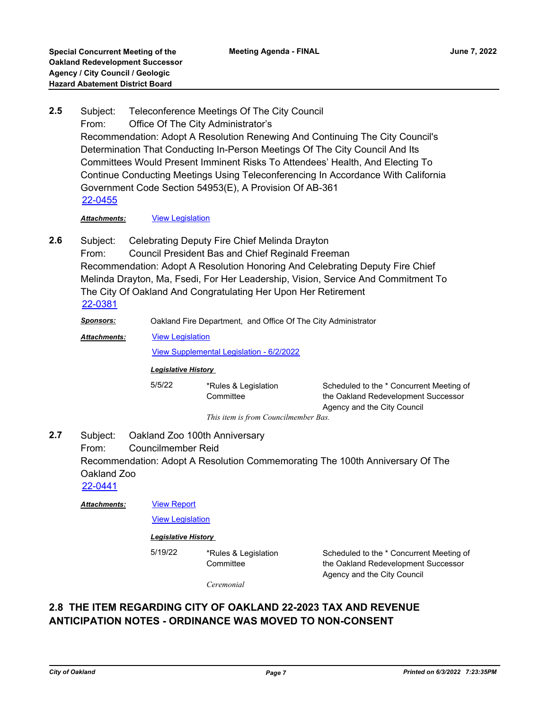Subject: Teleconference Meetings Of The City Council From: Office Of The City Administrator's Recommendation: Adopt A Resolution Renewing And Continuing The City Council's Determination That Conducting In-Person Meetings Of The City Council And Its Committees Would Present Imminent Risks To Attendees' Health, And Electing To Continue Conducting Meetings Using Teleconferencing In Accordance With California Government Code Section 54953(E), A Provision Of AB-361 **2.5** [22-0455](http://oakland.legistar.com/gateway.aspx?m=l&id=/matter.aspx?key=33376)

*Attachments:* [View Legislation](http://oakland.legistar.com/gateway.aspx?M=F&ID=c81dc76d-6d3a-456a-baad-d459c973bc39.pdf)

Subject: Celebrating Deputy Fire Chief Melinda Drayton **2.6**

From: Council President Bas and Chief Reginald Freeman Recommendation: Adopt A Resolution Honoring And Celebrating Deputy Fire Chief Melinda Drayton, Ma, Fsedi, For Her Leadership, Vision, Service And Commitment To The City Of Oakland And Congratulating Her Upon Her Retirement [22-0381](http://oakland.legistar.com/gateway.aspx?m=l&id=/matter.aspx?key=33302)

*Sponsors:* Oakland Fire Department, and Office Of The City Administrator

[View Legislation](http://oakland.legistar.com/gateway.aspx?M=F&ID=ea3537a8-fd16-4d7a-8605-e245d26fea78.pdf) *Attachments:*

[View Supplemental Legislation - 6/2/2022](http://oakland.legistar.com/gateway.aspx?M=F&ID=e3474fd1-98f4-4f66-aeac-4452daebe9af.PDF)

**Committee** 

### *Legislative History*

5/5/22 \*Rules & Legislation

Scheduled to the \* Concurrent Meeting of the Oakland Redevelopment Successor Agency and the City Council

*This item is from Councilmember Bas.*

Subject: Oakland Zoo 100th Anniversary From: Councilmember Reid Recommendation: Adopt A Resolution Commemorating The 100th Anniversary Of The Oakland Zoo **2.7**

[22-0441](http://oakland.legistar.com/gateway.aspx?m=l&id=/matter.aspx?key=33362)

[View Report](http://oakland.legistar.com/gateway.aspx?M=F&ID=7ea47975-9f84-43e3-ade2-fd2394dd4cbd.pdf) *Attachments:*

[View Legislation](http://oakland.legistar.com/gateway.aspx?M=F&ID=a0316b79-4475-4a75-9dcc-f08c7767961f.PDF)

### *Legislative History*

5/19/22 \*Rules & Legislation

Scheduled to the \* Concurrent Meeting of the Oakland Redevelopment Successor Agency and the City Council

*Ceremonial*

**Committee** 

## **2.8 THE ITEM REGARDING CITY OF OAKLAND 22-2023 TAX AND REVENUE ANTICIPATION NOTES - ORDINANCE WAS MOVED TO NON-CONSENT**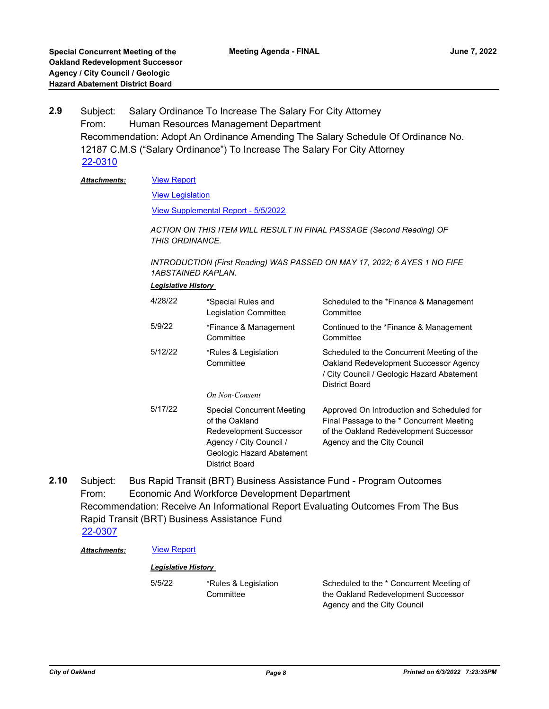Subject: Salary Ordinance To Increase The Salary For City Attorney From: Human Resources Management Department Recommendation: Adopt An Ordinance Amending The Salary Schedule Of Ordinance No. 12187 C.M.S ("Salary Ordinance") To Increase The Salary For City Attorney **2.9** [22-0310](http://oakland.legistar.com/gateway.aspx?m=l&id=/matter.aspx?key=33231)

#### [View Report](http://oakland.legistar.com/gateway.aspx?M=F&ID=711a6fe2-6591-4946-9b76-27d1ac50e109.pdf) *Attachments:*

[View Legislation](http://oakland.legistar.com/gateway.aspx?M=F&ID=3fc2dc9c-5e2f-4d3a-b2a6-ddcea720dd0a.pdf)

[View Supplemental Report - 5/5/2022](http://oakland.legistar.com/gateway.aspx?M=F&ID=fc16aab2-8545-4f60-a02d-6457443a8870.PDF)

*ACTION ON THIS ITEM WILL RESULT IN FINAL PASSAGE (Second Reading) OF THIS ORDINANCE.*

*INTRODUCTION (First Reading) WAS PASSED ON MAY 17, 2022; 6 AYES 1 NO FIFE 1ABSTAINED KAPLAN.*

#### *Legislative History*

| 4/28/22 | *Special Rules and<br><b>Legislation Committee</b>                                                                                                              | Scheduled to the *Finance & Management<br>Committee                                                                                                              |
|---------|-----------------------------------------------------------------------------------------------------------------------------------------------------------------|------------------------------------------------------------------------------------------------------------------------------------------------------------------|
| 5/9/22  | *Finance & Management<br>Committee                                                                                                                              | Continued to the *Finance & Management<br>Committee                                                                                                              |
| 5/12/22 | *Rules & Legislation<br>Committee<br>On Non-Consent                                                                                                             | Scheduled to the Concurrent Meeting of the<br>Oakland Redevelopment Successor Agency<br>/ City Council / Geologic Hazard Abatement<br>District Board             |
| 5/17/22 | <b>Special Concurrent Meeting</b><br>of the Oakland<br><b>Redevelopment Successor</b><br>Agency / City Council /<br>Geologic Hazard Abatement<br>District Board | Approved On Introduction and Scheduled for<br>Final Passage to the * Concurrent Meeting<br>of the Oakland Redevelopment Successor<br>Agency and the City Council |

Subject: Bus Rapid Transit (BRT) Business Assistance Fund - Program Outcomes From: Economic And Workforce Development Department Recommendation: Receive An Informational Report Evaluating Outcomes From The Bus Rapid Transit (BRT) Business Assistance Fund **2.10** [22-0307](http://oakland.legistar.com/gateway.aspx?m=l&id=/matter.aspx?key=33228)

### Attachments: **[View Report](http://oakland.legistar.com/gateway.aspx?M=F&ID=c693eef0-0e64-47e2-afe8-6f4bdc3a06ac.pdf)**

### *Legislative History*

5/5/22 \*Rules & Legislation Committee

Scheduled to the \* Concurrent Meeting of the Oakland Redevelopment Successor Agency and the City Council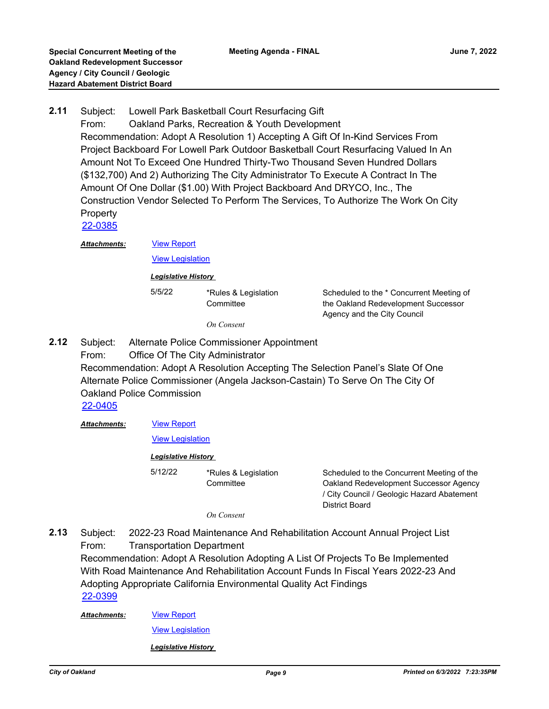Subject: Lowell Park Basketball Court Resurfacing Gift From: Oakland Parks, Recreation & Youth Development Recommendation: Adopt A Resolution 1) Accepting A Gift Of In-Kind Services From Project Backboard For Lowell Park Outdoor Basketball Court Resurfacing Valued In An Amount Not To Exceed One Hundred Thirty-Two Thousand Seven Hundred Dollars (\$132,700) And 2) Authorizing The City Administrator To Execute A Contract In The Amount Of One Dollar (\$1.00) With Project Backboard And DRYCO, Inc., The Construction Vendor Selected To Perform The Services, To Authorize The Work On City **Property 2.11** [22-0385](http://oakland.legistar.com/gateway.aspx?m=l&id=/matter.aspx?key=33306)

*Attachments:*

[View Legislation](http://oakland.legistar.com/gateway.aspx?M=F&ID=7c65cba7-c5be-4a7d-af39-2884cf833afa.pdf)

[View Report](http://oakland.legistar.com/gateway.aspx?M=F&ID=24e30d3e-ed99-4f61-b49b-0042d613869a.pdf)

*Legislative History* 

5/5/22 \*Rules & Legislation **Committee** *On Consent*

Scheduled to the \* Concurrent Meeting of the Oakland Redevelopment Successor Agency and the City Council

- Subject: Alternate Police Commissioner Appointment **2.12**
	- From: Office Of The City Administrator

Recommendation: Adopt A Resolution Accepting The Selection Panel's Slate Of One Alternate Police Commissioner (Angela Jackson-Castain) To Serve On The City Of Oakland Police Commission

[22-0405](http://oakland.legistar.com/gateway.aspx?m=l&id=/matter.aspx?key=33326)

*Attachments:*

[View Report](http://oakland.legistar.com/gateway.aspx?M=F&ID=fbbfa5be-e7d1-443a-89b3-a88eb516267b.pdf)

### [View Legislation](http://oakland.legistar.com/gateway.aspx?M=F&ID=684702ab-562a-4903-821b-0859c43854ee.pdf)

### *Legislative History*

5/12/22 \*Rules & Legislation **Committee** 

Scheduled to the Concurrent Meeting of the Oakland Redevelopment Successor Agency / City Council / Geologic Hazard Abatement District Board

*On Consent*

Subject: 2022-23 Road Maintenance And Rehabilitation Account Annual Project List From: Transportation Department Recommendation: Adopt A Resolution Adopting A List Of Projects To Be Implemented With Road Maintenance And Rehabilitation Account Funds In Fiscal Years 2022-23 And Adopting Appropriate California Environmental Quality Act Findings **2.13** [22-0399](http://oakland.legistar.com/gateway.aspx?m=l&id=/matter.aspx?key=33320)

*Attachments:*

[View Legislation](http://oakland.legistar.com/gateway.aspx?M=F&ID=54be2b23-f52c-4b7a-b78e-8a221046b47e.pdf)

[View Report](http://oakland.legistar.com/gateway.aspx?M=F&ID=e5a21eee-6aa8-449f-8674-1b731e7f2e73.pdf)

*Legislative History*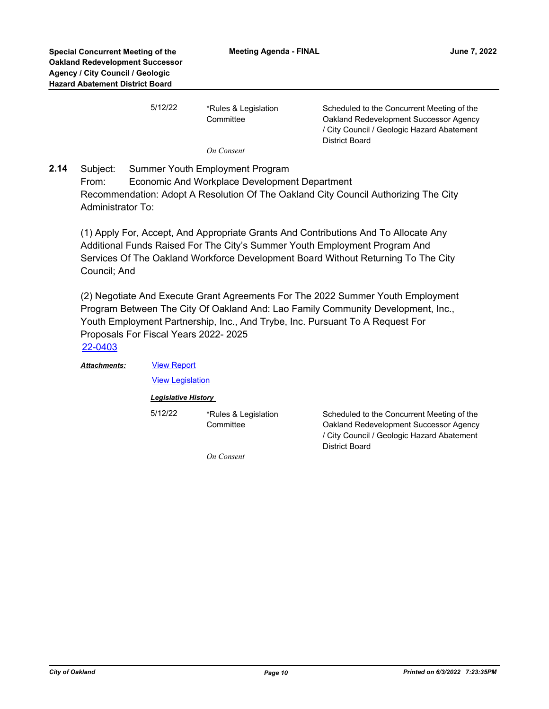| 5/12/22 | *Rules & Legislation<br>Committee | Scheduled to the Concurrent Meeting of the<br>Oakland Redevelopment Successor Agency<br>/ City Council / Geologic Hazard Abatement |
|---------|-----------------------------------|------------------------------------------------------------------------------------------------------------------------------------|
|         |                                   | District Board                                                                                                                     |
|         | On Consent                        |                                                                                                                                    |

Subject: Summer Youth Employment Program From: Economic And Workplace Development Department Recommendation: Adopt A Resolution Of The Oakland City Council Authorizing The City Administrator To: **2.14**

(1) Apply For, Accept, And Appropriate Grants And Contributions And To Allocate Any Additional Funds Raised For The City's Summer Youth Employment Program And Services Of The Oakland Workforce Development Board Without Returning To The City Council; And

(2) Negotiate And Execute Grant Agreements For The 2022 Summer Youth Employment Program Between The City Of Oakland And: Lao Family Community Development, Inc., Youth Employment Partnership, Inc., And Trybe, Inc. Pursuant To A Request For Proposals For Fiscal Years 2022- 2025

*Attachments:*

[View Report](http://oakland.legistar.com/gateway.aspx?M=F&ID=79bcc61e-d0e2-45d2-bb6d-73b9fdb0d90b.pdf) **[View Legislation](http://oakland.legistar.com/gateway.aspx?M=F&ID=31797c0a-57ef-475d-8305-638d1645641c.pdf)** 

*Legislative History* 

5/12/22 \*Rules & Legislation

**Committee** 

Scheduled to the Concurrent Meeting of the Oakland Redevelopment Successor Agency / City Council / Geologic Hazard Abatement District Board

*On Consent*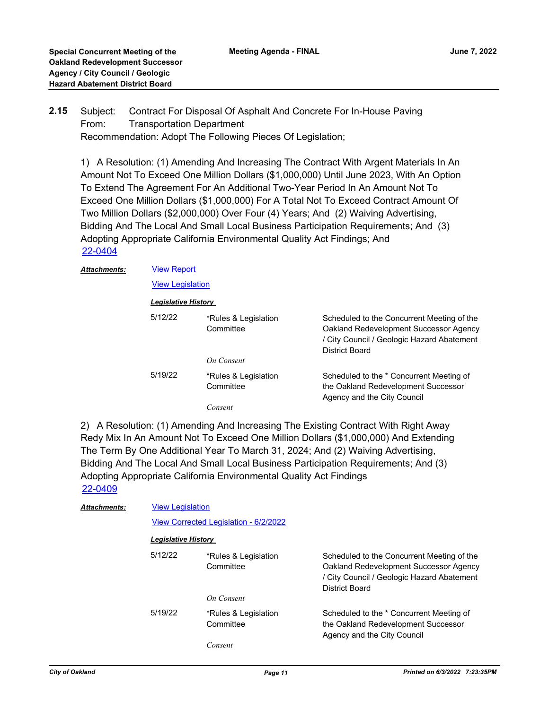*Attachments:*

#### Subject: Contract For Disposal Of Asphalt And Concrete For In-House Paving From: Transportation Department Recommendation: Adopt The Following Pieces Of Legislation; **2.15**

1) A Resolution: (1) Amending And Increasing The Contract With Argent Materials In An Amount Not To Exceed One Million Dollars (\$1,000,000) Until June 2023, With An Option To Extend The Agreement For An Additional Two-Year Period In An Amount Not To Exceed One Million Dollars (\$1,000,000) For A Total Not To Exceed Contract Amount Of Two Million Dollars (\$2,000,000) Over Four (4) Years; And (2) Waiving Advertising, Bidding And The Local And Small Local Business Participation Requirements; And (3) Adopting Appropriate California Environmental Quality Act Findings; And [22-0404](http://oakland.legistar.com/gateway.aspx?m=l&id=/matter.aspx?key=33325)

| <b>View Report</b>      |                                   |                                                                                                                                                      |
|-------------------------|-----------------------------------|------------------------------------------------------------------------------------------------------------------------------------------------------|
| <b>View Legislation</b> |                                   |                                                                                                                                                      |
| Legislative History     |                                   |                                                                                                                                                      |
| 5/12/22                 | *Rules & Legislation<br>Committee | Scheduled to the Concurrent Meeting of the<br>Oakland Redevelopment Successor Agency<br>/ City Council / Geologic Hazard Abatement<br>District Board |
|                         | On Consent                        |                                                                                                                                                      |
| 5/19/22                 | *Rules & Legislation<br>Committee | Scheduled to the * Concurrent Meeting of<br>the Oakland Redevelopment Successor<br>Agency and the City Council                                       |
|                         | Consent                           |                                                                                                                                                      |

2) A Resolution: (1) Amending And Increasing The Existing Contract With Right Away Redy Mix In An Amount Not To Exceed One Million Dollars (\$1,000,000) And Extending The Term By One Additional Year To March 31, 2024; And (2) Waiving Advertising, Bidding And The Local And Small Local Business Participation Requirements; And (3) Adopting Appropriate California Environmental Quality Act Findings [22-0409](http://oakland.legistar.com/gateway.aspx?m=l&id=/matter.aspx?key=33330)

| <b>Attachments:</b> | <b>View Legislation</b>               |                                   |                                                                                                                                                      |  |
|---------------------|---------------------------------------|-----------------------------------|------------------------------------------------------------------------------------------------------------------------------------------------------|--|
|                     | View Corrected Legislation - 6/2/2022 |                                   |                                                                                                                                                      |  |
|                     | <b>Legislative History</b>            |                                   |                                                                                                                                                      |  |
|                     | 5/12/22                               | *Rules & Legislation<br>Committee | Scheduled to the Concurrent Meeting of the<br>Oakland Redevelopment Successor Agency<br>/ City Council / Geologic Hazard Abatement<br>District Board |  |
|                     |                                       | On Consent                        |                                                                                                                                                      |  |
|                     | 5/19/22                               | *Rules & Legislation<br>Committee | Scheduled to the * Concurrent Meeting of<br>the Oakland Redevelopment Successor<br>Agency and the City Council                                       |  |
|                     |                                       | Consent                           |                                                                                                                                                      |  |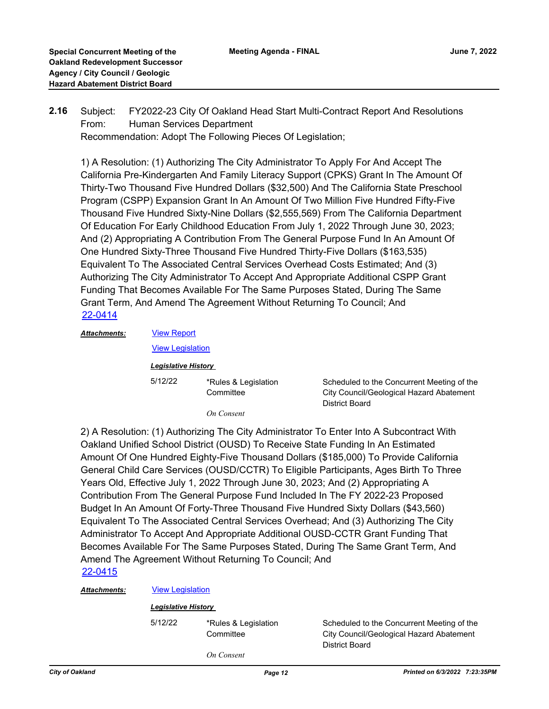Subject: FY2022-23 City Of Oakland Head Start Multi-Contract Report And Resolutions From: Human Services Department Recommendation: Adopt The Following Pieces Of Legislation; **2.16**

1) A Resolution: (1) Authorizing The City Administrator To Apply For And Accept The California Pre-Kindergarten And Family Literacy Support (CPKS) Grant In The Amount Of Thirty-Two Thousand Five Hundred Dollars (\$32,500) And The California State Preschool Program (CSPP) Expansion Grant In An Amount Of Two Million Five Hundred Fifty-Five Thousand Five Hundred Sixty-Nine Dollars (\$2,555,569) From The California Department Of Education For Early Childhood Education From July 1, 2022 Through June 30, 2023; And (2) Appropriating A Contribution From The General Purpose Fund In An Amount Of One Hundred Sixty-Three Thousand Five Hundred Thirty-Five Dollars (\$163,535) Equivalent To The Associated Central Services Overhead Costs Estimated; And (3) Authorizing The City Administrator To Accept And Appropriate Additional CSPP Grant Funding That Becomes Available For The Same Purposes Stated, During The Same Grant Term, And Amend The Agreement Without Returning To Council; And [22-0414](http://oakland.legistar.com/gateway.aspx?m=l&id=/matter.aspx?key=33335)

[View Report](http://oakland.legistar.com/gateway.aspx?M=F&ID=2c0124ac-cb37-4328-888f-c113d35926a8.pdf) [View Legislation](http://oakland.legistar.com/gateway.aspx?M=F&ID=0c51acf6-35c6-4dee-8aa7-31de7bc4c2ef.pdf) *Attachments: Legislative History*  5/12/22 \*Rules & Legislation **Committee** 

Scheduled to the Concurrent Meeting of the City Council/Geological Hazard Abatement District Board

*On Consent*

2) A Resolution: (1) Authorizing The City Administrator To Enter Into A Subcontract With Oakland Unified School District (OUSD) To Receive State Funding In An Estimated Amount Of One Hundred Eighty-Five Thousand Dollars (\$185,000) To Provide California General Child Care Services (OUSD/CCTR) To Eligible Participants, Ages Birth To Three Years Old, Effective July 1, 2022 Through June 30, 2023; And (2) Appropriating A Contribution From The General Purpose Fund Included In The FY 2022-23 Proposed Budget In An Amount Of Forty-Three Thousand Five Hundred Sixty Dollars (\$43,560) Equivalent To The Associated Central Services Overhead; And (3) Authorizing The City Administrator To Accept And Appropriate Additional OUSD-CCTR Grant Funding That Becomes Available For The Same Purposes Stated, During The Same Grant Term, And Amend The Agreement Without Returning To Council; And [22-0415](http://oakland.legistar.com/gateway.aspx?m=l&id=/matter.aspx?key=33336)

### *Attachments:* [View Legislation](http://oakland.legistar.com/gateway.aspx?M=F&ID=a2ce38fd-c47a-4550-b448-bcfc668114a7.pdf)

#### *Legislative History*

5/12/22 \*Rules & Legislation **Committee** 

Scheduled to the Concurrent Meeting of the City Council/Geological Hazard Abatement District Board

*On Consent*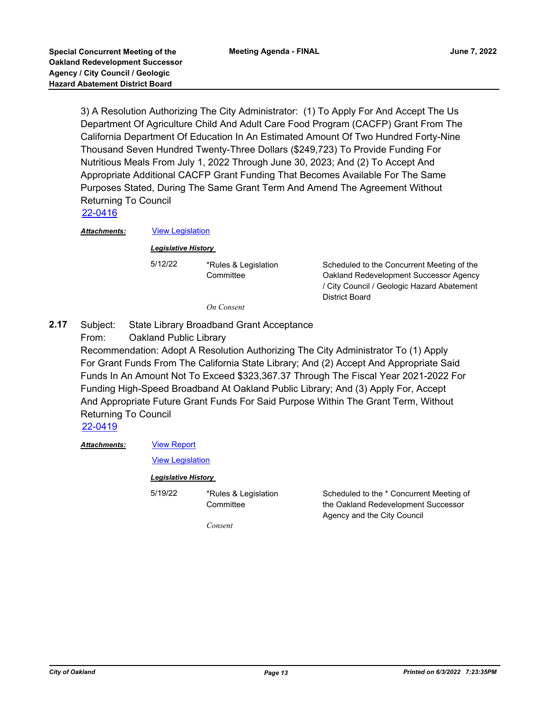3) A Resolution Authorizing The City Administrator: (1) To Apply For And Accept The Us Department Of Agriculture Child And Adult Care Food Program (CACFP) Grant From The California Department Of Education In An Estimated Amount Of Two Hundred Forty-Nine Thousand Seven Hundred Twenty-Three Dollars (\$249,723) To Provide Funding For Nutritious Meals From July 1, 2022 Through June 30, 2023; And (2) To Accept And Appropriate Additional CACFP Grant Funding That Becomes Available For The Same Purposes Stated, During The Same Grant Term And Amend The Agreement Without Returning To Council

[22-0416](http://oakland.legistar.com/gateway.aspx?m=l&id=/matter.aspx?key=33337)

*Attachments:* [View Legislation](http://oakland.legistar.com/gateway.aspx?M=F&ID=e87bec56-93c9-43fd-9fc5-620a666c480e.pdf)

*Legislative History* 

5/12/22 \*Rules & Legislation

Scheduled to the Concurrent Meeting of the Oakland Redevelopment Successor Agency / City Council / Geologic Hazard Abatement District Board

*On Consent*

**Committee** 

Subject: State Library Broadband Grant Acceptance From: Oakland Public Library **2.17**

> Recommendation: Adopt A Resolution Authorizing The City Administrator To (1) Apply For Grant Funds From The California State Library; And (2) Accept And Appropriate Said Funds In An Amount Not To Exceed \$323,367.37 Through The Fiscal Year 2021-2022 For Funding High-Speed Broadband At Oakland Public Library; And (3) Apply For, Accept And Appropriate Future Grant Funds For Said Purpose Within The Grant Term, Without Returning To Council

[22-0419](http://oakland.legistar.com/gateway.aspx?m=l&id=/matter.aspx?key=33340)

#### [View Report](http://oakland.legistar.com/gateway.aspx?M=F&ID=65f6e595-ec69-463a-8f73-fa509cca0a9b.pdf) *Attachments:*

[View Legislation](http://oakland.legistar.com/gateway.aspx?M=F&ID=57406167-688c-49c8-92a6-3c81d3ab8ac2.PDF)

### *Legislative History*

5/19/22 \*Rules & Legislation **Committee** 

Scheduled to the \* Concurrent Meeting of the Oakland Redevelopment Successor Agency and the City Council

*Consent*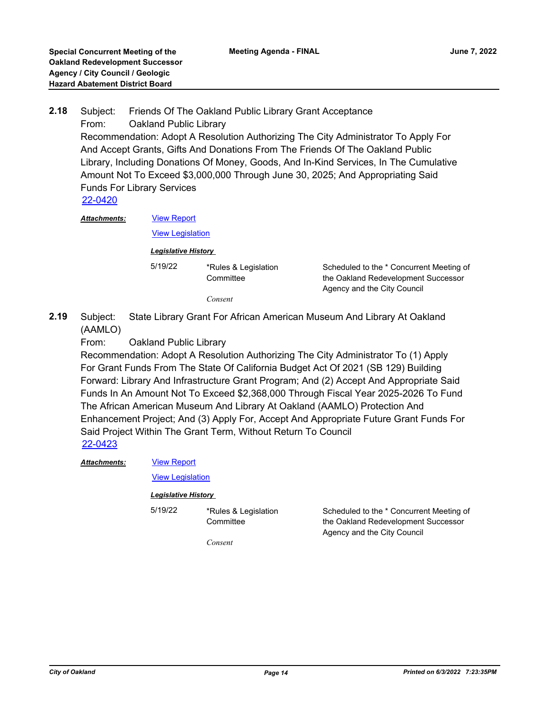Subject: Friends Of The Oakland Public Library Grant Acceptance From: Oakland Public Library Recommendation: Adopt A Resolution Authorizing The City Administrator To Apply For And Accept Grants, Gifts And Donations From The Friends Of The Oakland Public Library, Including Donations Of Money, Goods, And In-Kind Services, In The Cumulative Amount Not To Exceed \$3,000,000 Through June 30, 2025; And Appropriating Said Funds For Library Services **2.18** [22-0420](http://oakland.legistar.com/gateway.aspx?m=l&id=/matter.aspx?key=33341) *Attachments:*

[View Report](http://oakland.legistar.com/gateway.aspx?M=F&ID=95056d93-c4bf-428a-9170-3917c6aebe15.pdf) **[View Legislation](http://oakland.legistar.com/gateway.aspx?M=F&ID=ae0020bb-b3e7-475b-846d-624659252963.PDF)** *Legislative History*  5/19/22 \*Rules & Legislation **Committee** 

Scheduled to the \* Concurrent Meeting of the Oakland Redevelopment Successor Agency and the City Council

Scheduled to the \* Concurrent Meeting of the Oakland Redevelopment Successor

Agency and the City Council

- *Consent*
- Subject: State Library Grant For African American Museum And Library At Oakland (AAMLO) **2.19**

From: Oakland Public Library

Recommendation: Adopt A Resolution Authorizing The City Administrator To (1) Apply For Grant Funds From The State Of California Budget Act Of 2021 (SB 129) Building Forward: Library And Infrastructure Grant Program; And (2) Accept And Appropriate Said Funds In An Amount Not To Exceed \$2,368,000 Through Fiscal Year 2025-2026 To Fund The African American Museum And Library At Oakland (AAMLO) Protection And Enhancement Project; And (3) Apply For, Accept And Appropriate Future Grant Funds For Said Project Within The Grant Term, Without Return To Council [22-0423](http://oakland.legistar.com/gateway.aspx?m=l&id=/matter.aspx?key=33344)

*Attachments:*

[View Report](http://oakland.legistar.com/gateway.aspx?M=F&ID=b709d7e6-d5a7-439f-8c9a-be2e8245b0db.pdf)

[View Legislation](http://oakland.legistar.com/gateway.aspx?M=F&ID=b42a1552-2f42-4212-ad4e-5c5e025b7aa9.PDF)

*Legislative History* 

5/19/22 \*Rules & Legislation **Committee** 

*Consent*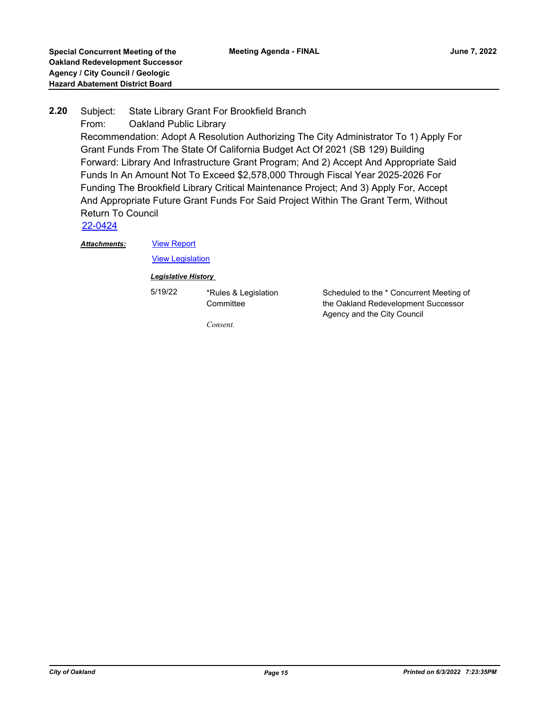### Subject: State Library Grant For Brookfield Branch From: Oakland Public Library Recommendation: Adopt A Resolution Authorizing The City Administrator To 1) Apply For Grant Funds From The State Of California Budget Act Of 2021 (SB 129) Building Forward: Library And Infrastructure Grant Program; And 2) Accept And Appropriate Said Funds In An Amount Not To Exceed \$2,578,000 Through Fiscal Year 2025-2026 For Funding The Brookfield Library Critical Maintenance Project; And 3) Apply For, Accept And Appropriate Future Grant Funds For Said Project Within The Grant Term, Without Return To Council **2.20** [22-0424](http://oakland.legistar.com/gateway.aspx?m=l&id=/matter.aspx?key=33345)

*Attachments:*

[View Report](http://oakland.legistar.com/gateway.aspx?M=F&ID=d270b024-343f-4a50-929e-b6d8f194cd2a.pdf)

**[View Legislation](http://oakland.legistar.com/gateway.aspx?M=F&ID=0ae76d98-2523-41e3-b630-a5b19426eebf.PDF)** 

*Legislative History* 

5/19/22 \*Rules & Legislation

**Committee** 

Scheduled to the \* Concurrent Meeting of the Oakland Redevelopment Successor Agency and the City Council

*Consent.*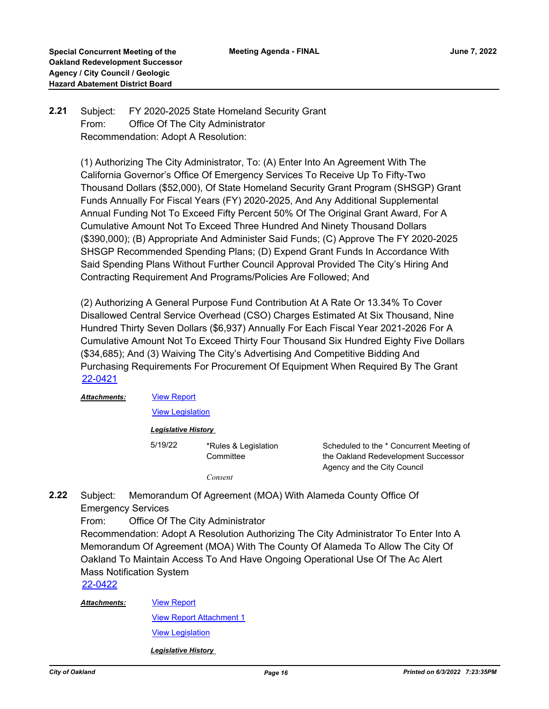#### Subject: FY 2020-2025 State Homeland Security Grant From: Office Of The City Administrator Recommendation: Adopt A Resolution: **2.21**

(1) Authorizing The City Administrator, To: (A) Enter Into An Agreement With The California Governor's Office Of Emergency Services To Receive Up To Fifty-Two Thousand Dollars (\$52,000), Of State Homeland Security Grant Program (SHSGP) Grant Funds Annually For Fiscal Years (FY) 2020-2025, And Any Additional Supplemental Annual Funding Not To Exceed Fifty Percent 50% Of The Original Grant Award, For A Cumulative Amount Not To Exceed Three Hundred And Ninety Thousand Dollars (\$390,000); (B) Appropriate And Administer Said Funds; (C) Approve The FY 2020-2025 SHSGP Recommended Spending Plans; (D) Expend Grant Funds In Accordance With Said Spending Plans Without Further Council Approval Provided The City's Hiring And Contracting Requirement And Programs/Policies Are Followed; And

(2) Authorizing A General Purpose Fund Contribution At A Rate Or 13.34% To Cover Disallowed Central Service Overhead (CSO) Charges Estimated At Six Thousand, Nine Hundred Thirty Seven Dollars (\$6,937) Annually For Each Fiscal Year 2021-2026 For A Cumulative Amount Not To Exceed Thirty Four Thousand Six Hundred Eighty Five Dollars (\$34,685); And (3) Waiving The City's Advertising And Competitive Bidding And Purchasing Requirements For Procurement Of Equipment When Required By The Grant [22-0421](http://oakland.legistar.com/gateway.aspx?m=l&id=/matter.aspx?key=33342)

| Attachments: |         | <b>View Report</b>                |                                                                                                                |  |  |  |
|--------------|---------|-----------------------------------|----------------------------------------------------------------------------------------------------------------|--|--|--|
|              |         | <b>View Legislation</b>           |                                                                                                                |  |  |  |
|              |         | Legislative History               |                                                                                                                |  |  |  |
|              | 5/19/22 | *Rules & Legislation<br>Committee | Scheduled to the * Concurrent Meeting of<br>the Oakland Redevelopment Successor<br>Agency and the City Council |  |  |  |
|              |         | Consent                           |                                                                                                                |  |  |  |
| Subject:     |         |                                   | Memorandum Of Agreement (MOA) With Alameda County Office Of                                                    |  |  |  |

Subject: Memorandum Of Agreement (MOA) With Alameda County Office Of Emergency Services **2.22**

From: Office Of The City Administrator

Recommendation: Adopt A Resolution Authorizing The City Administrator To Enter Into A Memorandum Of Agreement (MOA) With The County Of Alameda To Allow The City Of Oakland To Maintain Access To And Have Ongoing Operational Use Of The Ac Alert Mass Notification System

[22-0422](http://oakland.legistar.com/gateway.aspx?m=l&id=/matter.aspx?key=33343)

*Attachments:*

[View Report Attachment 1](http://oakland.legistar.com/gateway.aspx?M=F&ID=82f30f60-8da6-4835-b126-2992b02a5ac2.pdf)

[View Legislation](http://oakland.legistar.com/gateway.aspx?M=F&ID=1af5c85b-0a69-4166-acf4-9e84e6ce01d4.PDF)

[View Report](http://oakland.legistar.com/gateway.aspx?M=F&ID=a42df9b5-af77-42dd-a250-f8a55ef0222e.pdf)

*Legislative History*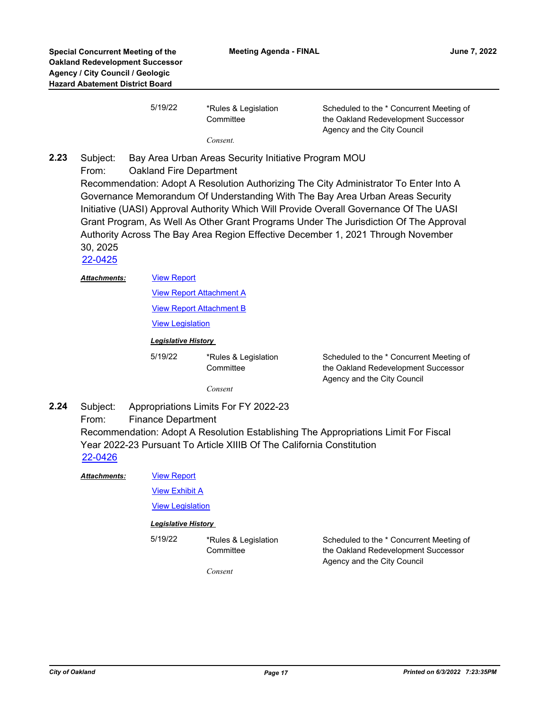| 5/19/22 | *Rules & Legislation | Scheduled to the * Concurrent Meeting of |
|---------|----------------------|------------------------------------------|
|         | Committee            | the Oakland Redevelopment Successor      |
|         |                      | Agency and the City Council              |

*Consent.*

Subject: Bay Area Urban Areas Security Initiative Program MOU From: Oakland Fire Department Recommendation: Adopt A Resolution Authorizing The City Administrator To Enter Into A Governance Memorandum Of Understanding With The Bay Area Urban Areas Security Initiative (UASI) Approval Authority Which Will Provide Overall Governance Of The UASI Grant Program, As Well As Other Grant Programs Under The Jurisdiction Of The Approval Authority Across The Bay Area Region Effective December 1, 2021 Through November 30, 2025 **2.23**

[22-0425](http://oakland.legistar.com/gateway.aspx?m=l&id=/matter.aspx?key=33346)

#### [View Report](http://oakland.legistar.com/gateway.aspx?M=F&ID=f0aa2990-f672-45a6-a2e7-0bcaf59a2e82.pdf) *Attachments:*

[View Report Attachment A](http://oakland.legistar.com/gateway.aspx?M=F&ID=072bbca1-3554-4c83-9911-1fb240a5f2a2.pdf)

[View Report Attachment B](http://oakland.legistar.com/gateway.aspx?M=F&ID=3cbeef45-7bbb-4ae8-a652-36d125989ca9.pdf)

[View Legislation](http://oakland.legistar.com/gateway.aspx?M=F&ID=f8efae3e-3213-43dd-97ec-f885670c9c18.PDF)

### *Legislative History*

5/19/22 \*Rules & Legislation **Committee** 

Scheduled to the \* Concurrent Meeting of the Oakland Redevelopment Successor Agency and the City Council

*Consent*

- Subject: Appropriations Limits For FY 2022-23 From: Finance Department Recommendation: Adopt A Resolution Establishing The Appropriations Limit For Fiscal Year 2022-23 Pursuant To Article XIIIB Of The California Constitution **2.24** [22-0426](http://oakland.legistar.com/gateway.aspx?m=l&id=/matter.aspx?key=33347)
	- [View Report](http://oakland.legistar.com/gateway.aspx?M=F&ID=cb7ad4dd-142a-442d-9166-f7d46eeef559.pdf) *Attachments:*

[View Exhibit A](http://oakland.legistar.com/gateway.aspx?M=F&ID=ffcf1fe6-e6e2-4d21-83e2-39e54a981d68.pdf)

[View Legislation](http://oakland.legistar.com/gateway.aspx?M=F&ID=ef5c45bf-5fae-432c-9051-ca00385fc904.pdf)

#### *Legislative History*

5/19/22 \*Rules & Legislation

Scheduled to the \* Concurrent Meeting of the Oakland Redevelopment Successor Agency and the City Council

*Consent*

**Committee**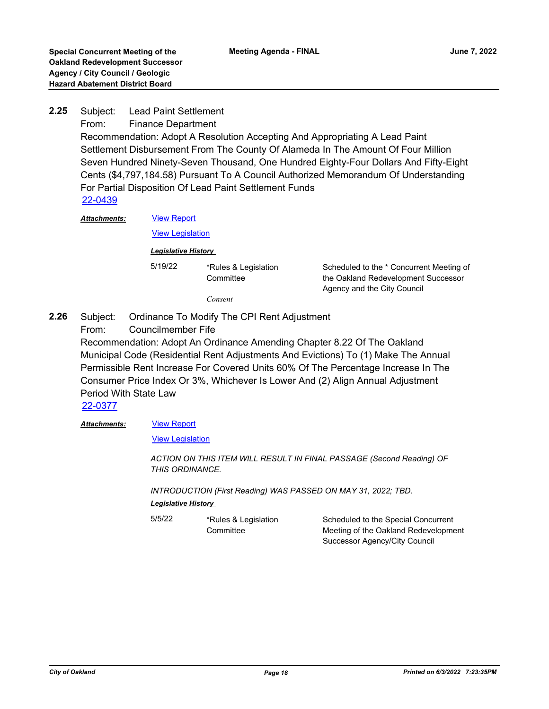Subject: Lead Paint Settlement From: Finance Department Recommendation: Adopt A Resolution Accepting And Appropriating A Lead Paint Settlement Disbursement From The County Of Alameda In The Amount Of Four Million Seven Hundred Ninety-Seven Thousand, One Hundred Eighty-Four Dollars And Fifty-Eight Cents (\$4,797,184.58) Pursuant To A Council Authorized Memorandum Of Understanding For Partial Disposition Of Lead Paint Settlement Funds **2.25** [22-0439](http://oakland.legistar.com/gateway.aspx?m=l&id=/matter.aspx?key=33360) *Attachments:*

[View Report](http://oakland.legistar.com/gateway.aspx?M=F&ID=d3843a8f-37a9-494b-8b57-a02e99c59ac0.pdf) [View Legislation](http://oakland.legistar.com/gateway.aspx?M=F&ID=dbae6052-3a41-46a6-9789-99e118b9fb31.pdf)

*Legislative History* 

5/19/22 \*Rules & Legislation **Committee** 

Scheduled to the \* Concurrent Meeting of the Oakland Redevelopment Successor Agency and the City Council

*Consent*

- Subject: Ordinance To Modify The CPI Rent Adjustment From: Councilmember Fife **2.26**
	- Recommendation: Adopt An Ordinance Amending Chapter 8.22 Of The Oakland Municipal Code (Residential Rent Adjustments And Evictions) To (1) Make The Annual Permissible Rent Increase For Covered Units 60% Of The Percentage Increase In The Consumer Price Index Or 3%, Whichever Is Lower And (2) Align Annual Adjustment Period With State Law

[22-0377](http://oakland.legistar.com/gateway.aspx?m=l&id=/matter.aspx?key=33298)

#### [View Report](http://oakland.legistar.com/gateway.aspx?M=F&ID=bbc3bdba-ae5f-4dec-a9f7-2c58fdbc63b9.pdf) *Attachments:*

[View Legislation](http://oakland.legistar.com/gateway.aspx?M=F&ID=5a30b5fa-6623-48e3-ae71-5f661ac1c776.pdf)

*ACTION ON THIS ITEM WILL RESULT IN FINAL PASSAGE (Second Reading) OF THIS ORDINANCE.*

*INTRODUCTION (First Reading) WAS PASSED ON MAY 31, 2022; TBD. Legislative History* 

| 5/5/22 | *Rules & Legislation | Scheduled to the Special Concurrent  |
|--------|----------------------|--------------------------------------|
|        | Committee            | Meeting of the Oakland Redevelopment |
|        |                      | Successor Agency/City Council        |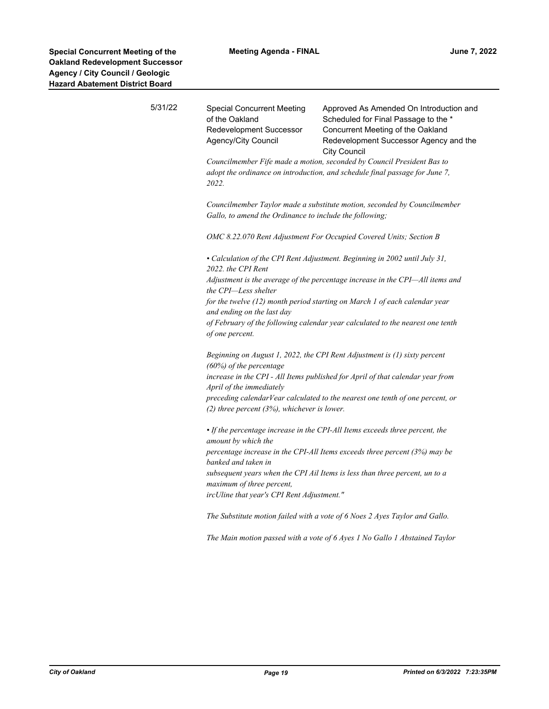| 5/31/22 | <b>Special Concurrent Meeting</b><br>of the Oakland<br>Redevelopment Successor<br>Agency/City Council                                                          | Approved As Amended On Introduction and<br>Scheduled for Final Passage to the *<br>Concurrent Meeting of the Oakland<br>Redevelopment Successor Agency and the<br><b>City Council</b> |  |  |  |
|---------|----------------------------------------------------------------------------------------------------------------------------------------------------------------|---------------------------------------------------------------------------------------------------------------------------------------------------------------------------------------|--|--|--|
|         | Councilmember Fife made a motion, seconded by Council President Bas to<br>adopt the ordinance on introduction, and schedule final passage for June 7,<br>2022. |                                                                                                                                                                                       |  |  |  |
|         | Councilmember Taylor made a substitute motion, seconded by Councilmember<br>Gallo, to amend the Ordinance to include the following;                            |                                                                                                                                                                                       |  |  |  |
|         | OMC 8.22.070 Rent Adjustment For Occupied Covered Units; Section B                                                                                             |                                                                                                                                                                                       |  |  |  |
|         | • Calculation of the CPI Rent Adjustment. Beginning in 2002 until July 31,<br>2022. the CPI Rent                                                               |                                                                                                                                                                                       |  |  |  |
|         | Adjustment is the average of the percentage increase in the CPI-All items and<br>the CPI-Less shelter                                                          |                                                                                                                                                                                       |  |  |  |
|         | for the twelve (12) month period starting on March 1 of each calendar year<br>and ending on the last day                                                       |                                                                                                                                                                                       |  |  |  |
|         | of February of the following calendar year calculated to the nearest one tenth<br>of one percent.                                                              |                                                                                                                                                                                       |  |  |  |
|         | Beginning on August 1, 2022, the CPI Rent Adjustment is (1) sixty percent<br>(60%) of the percentage                                                           |                                                                                                                                                                                       |  |  |  |
|         | increase in the CPI - All Items published for April of that calendar year from<br>April of the immediately                                                     |                                                                                                                                                                                       |  |  |  |
|         | (2) three percent $(3%)$ , whichever is lower.                                                                                                                 | preceding calendarVear calculated to the nearest one tenth of one percent, or                                                                                                         |  |  |  |
|         | • If the percentage increase in the CPI-All Items exceeds three percent, the<br>amount by which the                                                            |                                                                                                                                                                                       |  |  |  |
|         | banked and taken in                                                                                                                                            | percentage increase in the CPI-All Items exceeds three percent (3%) may be                                                                                                            |  |  |  |
|         | subsequent years when the CPI Ail Items is less than three percent, un to a<br>maximum of three percent,                                                       |                                                                                                                                                                                       |  |  |  |
|         | ircUline that year's CPI Rent Adjustment."                                                                                                                     |                                                                                                                                                                                       |  |  |  |
|         |                                                                                                                                                                | The Substitute motion failed with a vote of 6 Noes 2 Ayes Taylor and Gallo.                                                                                                           |  |  |  |

*The Main motion passed with a vote of 6 Ayes 1 No Gallo 1 Abstained Taylor*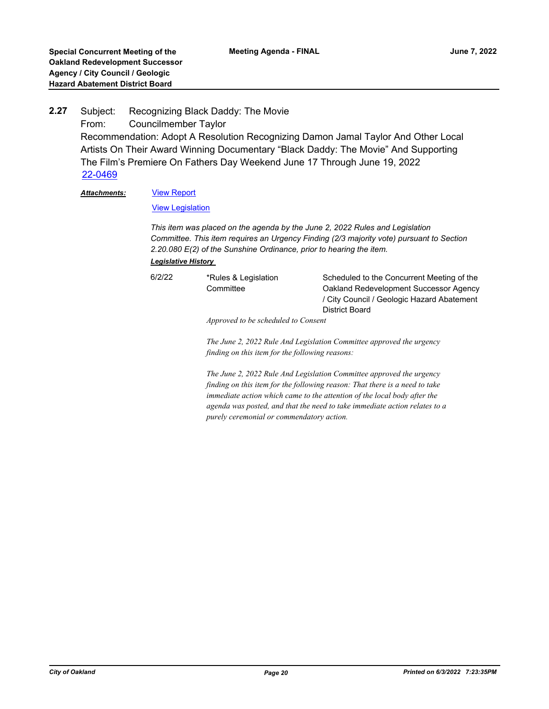### Subject: Recognizing Black Daddy: The Movie From: Councilmember Taylor Recommendation: Adopt A Resolution Recognizing Damon Jamal Taylor And Other Local Artists On Their Award Winning Documentary "Black Daddy: The Movie" And Supporting The Film's Premiere On Fathers Day Weekend June 17 Through June 19, 2022 **2.27** [22-0469](http://oakland.legistar.com/gateway.aspx?m=l&id=/matter.aspx?key=33390)

#### [View Report](http://oakland.legistar.com/gateway.aspx?M=F&ID=f6117d70-2199-4b67-ac83-c5ebc994afbc.pdf) *Attachments:*

[View Legislation](http://oakland.legistar.com/gateway.aspx?M=F&ID=ab0833fd-00ab-4c7f-acd0-cf3d92ec91f1.pdf)

*This item was placed on the agenda by the June 2, 2022 Rules and Legislation Committee. This item requires an Urgency Finding (2/3 majority vote) pursuant to Section 2.20.080 E(2) of the Sunshine Ordinance, prior to hearing the item.*

*Legislative History* 

6/2/22 \*Rules & Legislation

Scheduled to the Concurrent Meeting of the Oakland Redevelopment Successor Agency / City Council / Geologic Hazard Abatement District Board

*Approved to be scheduled to Consent* 

**Committee** 

*The June 2, 2022 Rule And Legislation Committee approved the urgency finding on this item for the following reasons:* 

*The June 2, 2022 Rule And Legislation Committee approved the urgency finding on this item for the following reason: That there is a need to take immediate action which came to the attention of the local body after the agenda was posted, and that the need to take immediate action relates to a purely ceremonial or commendatory action.*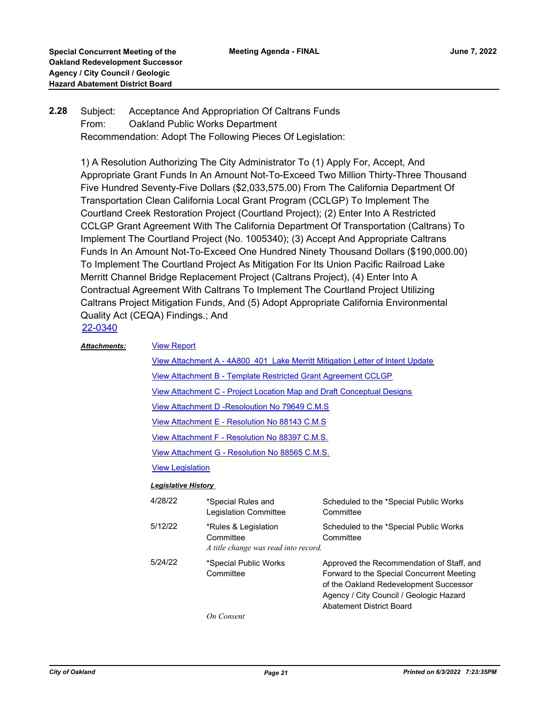#### Subject: Acceptance And Appropriation Of Caltrans Funds From: Oakland Public Works Department Recommendation: Adopt The Following Pieces Of Legislation: **2.28**

1) A Resolution Authorizing The City Administrator To (1) Apply For, Accept, And Appropriate Grant Funds In An Amount Not-To-Exceed Two Million Thirty-Three Thousand Five Hundred Seventy-Five Dollars (\$2,033,575.00) From The California Department Of Transportation Clean California Local Grant Program (CCLGP) To Implement The Courtland Creek Restoration Project (Courtland Project); (2) Enter Into A Restricted CCLGP Grant Agreement With The California Department Of Transportation (Caltrans) To Implement The Courtland Project (No. 1005340); (3) Accept And Appropriate Caltrans Funds In An Amount Not-To-Exceed One Hundred Ninety Thousand Dollars (\$190,000.00) To Implement The Courtland Project As Mitigation For Its Union Pacific Railroad Lake Merritt Channel Bridge Replacement Project (Caltrans Project), (4) Enter Into A Contractual Agreement With Caltrans To Implement The Courtland Project Utilizing Caltrans Project Mitigation Funds, And (5) Adopt Appropriate California Environmental Quality Act (CEQA) Findings.; And [22-0340](http://oakland.legistar.com/gateway.aspx?m=l&id=/matter.aspx?key=33261)

| <b>Attachments:</b>        | <b>View Report</b>                                                                   |                                                                           |                                                                                                                                                                                                                |  |
|----------------------------|--------------------------------------------------------------------------------------|---------------------------------------------------------------------------|----------------------------------------------------------------------------------------------------------------------------------------------------------------------------------------------------------------|--|
|                            | <u>View Attachment A - 4A800 401 Lake Merritt Mitigation Letter of Intent Update</u> |                                                                           |                                                                                                                                                                                                                |  |
|                            | View Attachment B - Template Restricted Grant Agreement CCLGP                        |                                                                           |                                                                                                                                                                                                                |  |
|                            | View Attachment C - Project Location Map and Draft Conceptual Designs                |                                                                           |                                                                                                                                                                                                                |  |
|                            |                                                                                      | View Attachment D - Resoloution No 79649 C.M.S.                           |                                                                                                                                                                                                                |  |
|                            |                                                                                      | View Attachment E - Resolution No 88143 C.M.S                             |                                                                                                                                                                                                                |  |
|                            |                                                                                      | View Attachment F - Resolution No 88397 C.M.S.                            |                                                                                                                                                                                                                |  |
|                            | View Attachment G - Resolution No 88565 C.M.S.                                       |                                                                           |                                                                                                                                                                                                                |  |
|                            | <b>View Legislation</b>                                                              |                                                                           |                                                                                                                                                                                                                |  |
| <b>Legislative History</b> |                                                                                      |                                                                           |                                                                                                                                                                                                                |  |
|                            | 4/28/22                                                                              | *Special Rules and<br>Legislation Committee                               | Scheduled to the *Special Public Works<br>Committee                                                                                                                                                            |  |
|                            | 5/12/22                                                                              | *Rules & Legislation<br>Committee<br>A title change was read into record. | Scheduled to the *Special Public Works<br>Committee                                                                                                                                                            |  |
|                            | 5/24/22                                                                              | *Special Public Works<br>Committee                                        | Approved the Recommendation of Staff, and<br>Forward to the Special Concurrent Meeting<br>of the Oakland Redevelopment Successor<br>Agency / City Council / Geologic Hazard<br><b>Abatement District Board</b> |  |
|                            |                                                                                      | <b>On Consent</b>                                                         |                                                                                                                                                                                                                |  |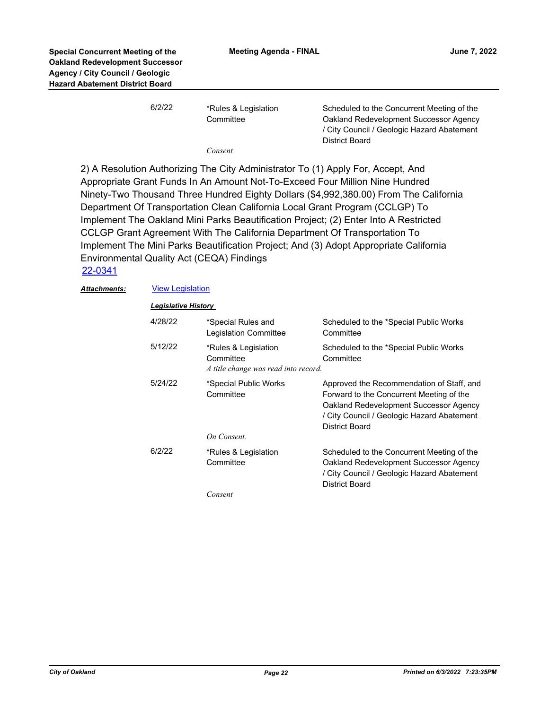| 6/2/22 | *Rules & Legislation<br>Committee | Scheduled to the Concurrent Meeting of the<br>Oakland Redevelopment Successor Agency<br>/ City Council / Geologic Hazard Abatement |
|--------|-----------------------------------|------------------------------------------------------------------------------------------------------------------------------------|
|        | Consent                           | <b>District Board</b>                                                                                                              |

2) A Resolution Authorizing The City Administrator To (1) Apply For, Accept, And Appropriate Grant Funds In An Amount Not-To-Exceed Four Million Nine Hundred Ninety-Two Thousand Three Hundred Eighty Dollars (\$4,992,380.00) From The California Department Of Transportation Clean California Local Grant Program (CCLGP) To Implement The Oakland Mini Parks Beautification Project; (2) Enter Into A Restricted CCLGP Grant Agreement With The California Department Of Transportation To Implement The Mini Parks Beautification Project; And (3) Adopt Appropriate California Environmental Quality Act (CEQA) Findings

## [22-0341](http://oakland.legistar.com/gateway.aspx?m=l&id=/matter.aspx?key=33262)

### **Attachments: [View Legislation](http://oakland.legistar.com/gateway.aspx?M=F&ID=e3355ded-7aa8-4fd7-aaae-f650ad428def.pdf)**

| <b>Legislative History</b> |                                                                           |                                                                                                                                                                                                 |  |  |
|----------------------------|---------------------------------------------------------------------------|-------------------------------------------------------------------------------------------------------------------------------------------------------------------------------------------------|--|--|
| 4/28/22                    | *Special Rules and<br>Legislation Committee                               | Scheduled to the *Special Public Works<br>Committee                                                                                                                                             |  |  |
| 5/12/22                    | *Rules & Legislation<br>Committee<br>A title change was read into record. | Scheduled to the *Special Public Works<br>Committee                                                                                                                                             |  |  |
| 5/24/22                    | *Special Public Works<br>Committee<br>On Consent.                         | Approved the Recommendation of Staff, and<br>Forward to the Concurrent Meeting of the<br>Oakland Redevelopment Successor Agency<br>/ City Council / Geologic Hazard Abatement<br>District Board |  |  |
| 6/2/22                     | *Rules & Legislation<br>Committee                                         | Scheduled to the Concurrent Meeting of the<br>Oakland Redevelopment Successor Agency<br>/ City Council / Geologic Hazard Abatement<br>District Board                                            |  |  |
|                            | Consent                                                                   |                                                                                                                                                                                                 |  |  |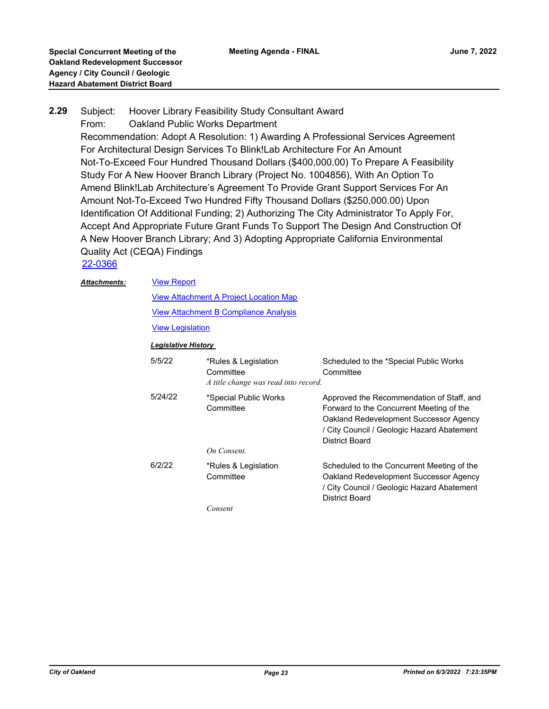### Subject: Hoover Library Feasibility Study Consultant Award From: Oakland Public Works Department Recommendation: Adopt A Resolution: 1) Awarding A Professional Services Agreement For Architectural Design Services To Blink!Lab Architecture For An Amount Not-To-Exceed Four Hundred Thousand Dollars (\$400,000.00) To Prepare A Feasibility Study For A New Hoover Branch Library (Project No. 1004856), With An Option To Amend Blink!Lab Architecture's Agreement To Provide Grant Support Services For An Amount Not-To-Exceed Two Hundred Fifty Thousand Dollars (\$250,000.00) Upon Identification Of Additional Funding; 2) Authorizing The City Administrator To Apply For, Accept And Appropriate Future Grant Funds To Support The Design And Construction Of A New Hoover Branch Library; And 3) Adopting Appropriate California Environmental Quality Act (CEQA) Findings **2.29**

[22-0366](http://oakland.legistar.com/gateway.aspx?m=l&id=/matter.aspx?key=33287)

#### [View Report](http://oakland.legistar.com/gateway.aspx?M=F&ID=acc72ed7-73ef-4224-811e-a69b36cb8e45.pdf) *Attachments:*

[View Attachment A Project Location Map](http://oakland.legistar.com/gateway.aspx?M=F&ID=2a359a38-a7e8-431f-882d-5e7d3f3f32cb.pdf) [View Attachment B Compliance Analysis](http://oakland.legistar.com/gateway.aspx?M=F&ID=01996100-14b5-414c-8720-e4ffd85a52dd.pdf)

[View Legislation](http://oakland.legistar.com/gateway.aspx?M=F&ID=4979acfe-8821-40ea-827e-b5385ee1b43b.pdf)

### *Legislative History*

| 5/5/22  | *Rules & Legislation<br>Committee<br>A title change was read into record. | Scheduled to the *Special Public Works<br>Committee                                                                                                                                             |
|---------|---------------------------------------------------------------------------|-------------------------------------------------------------------------------------------------------------------------------------------------------------------------------------------------|
| 5/24/22 | *Special Public Works<br>Committee<br>On Consent.                         | Approved the Recommendation of Staff, and<br>Forward to the Concurrent Meeting of the<br>Oakland Redevelopment Successor Agency<br>/ City Council / Geologic Hazard Abatement<br>District Board |
| 6/2/22  | *Rules & Legislation<br>Committee<br>Consent                              | Scheduled to the Concurrent Meeting of the<br>Oakland Redevelopment Successor Agency<br>/ City Council / Geologic Hazard Abatement<br><b>District Board</b>                                     |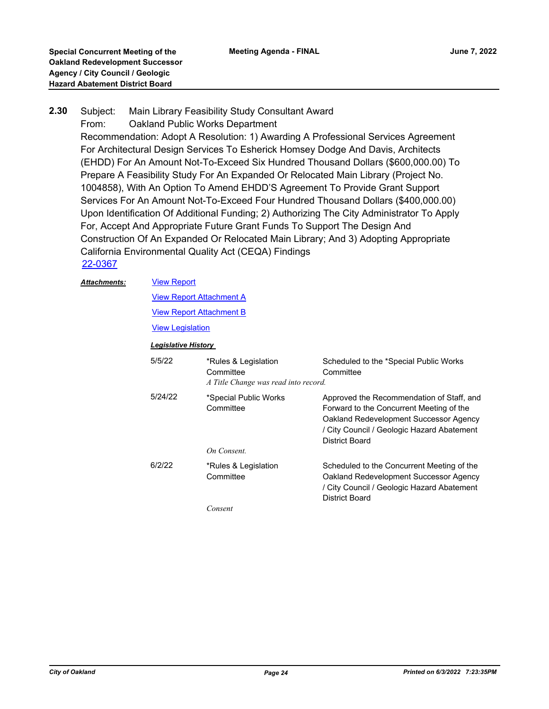#### Subject: Main Library Feasibility Study Consultant Award **2.30**

From: Oakland Public Works Department

Recommendation: Adopt A Resolution: 1) Awarding A Professional Services Agreement For Architectural Design Services To Esherick Homsey Dodge And Davis, Architects (EHDD) For An Amount Not-To-Exceed Six Hundred Thousand Dollars (\$600,000.00) To Prepare A Feasibility Study For An Expanded Or Relocated Main Library (Project No. 1004858), With An Option To Amend EHDD'S Agreement To Provide Grant Support Services For An Amount Not-To-Exceed Four Hundred Thousand Dollars (\$400,000.00) Upon Identification Of Additional Funding; 2) Authorizing The City Administrator To Apply For, Accept And Appropriate Future Grant Funds To Support The Design And Construction Of An Expanded Or Relocated Main Library; And 3) Adopting Appropriate California Environmental Quality Act (CEQA) Findings [22-0367](http://oakland.legistar.com/gateway.aspx?m=l&id=/matter.aspx?key=33288)

#### [View Report](http://oakland.legistar.com/gateway.aspx?M=F&ID=84ddeb43-ec7b-4b4a-b86e-b4b73d9e58eb.pdf) *Attachments:*

[View Report Attachment A](http://oakland.legistar.com/gateway.aspx?M=F&ID=c49ae20e-786c-4932-a653-5ff3df9f34d7.pdf)

**[View Report Attachment B](http://oakland.legistar.com/gateway.aspx?M=F&ID=413a2f25-1552-4211-9d68-232f8d074423.pdf)** 

[View Legislation](http://oakland.legistar.com/gateway.aspx?M=F&ID=172c9a0e-e093-4560-8c72-4740183dbaa4.pdf)

### *Legislative History*

| 5/5/22  | *Rules & Legislation<br>Committee<br>A Title Change was read into record. | Scheduled to the *Special Public Works<br>Committee                                                                                                                                             |
|---------|---------------------------------------------------------------------------|-------------------------------------------------------------------------------------------------------------------------------------------------------------------------------------------------|
| 5/24/22 | *Special Public Works<br>Committee<br>On Consent.                         | Approved the Recommendation of Staff, and<br>Forward to the Concurrent Meeting of the<br>Oakland Redevelopment Successor Agency<br>/ City Council / Geologic Hazard Abatement<br>District Board |
| 6/2/22  | *Rules & Legislation<br>Committee                                         | Scheduled to the Concurrent Meeting of the<br>Oakland Redevelopment Successor Agency<br>/ City Council / Geologic Hazard Abatement<br><b>District Board</b>                                     |
|         | Consent                                                                   |                                                                                                                                                                                                 |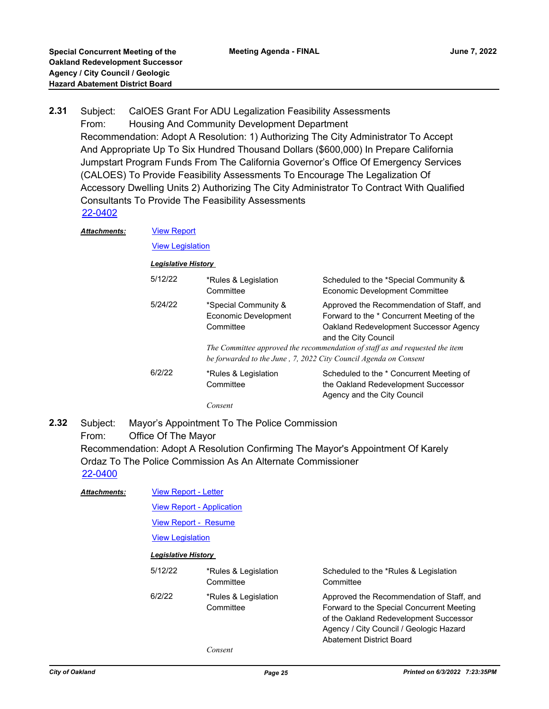Subject: CalOES Grant For ADU Legalization Feasibility Assessments From: Housing And Community Development Department Recommendation: Adopt A Resolution: 1) Authorizing The City Administrator To Accept And Appropriate Up To Six Hundred Thousand Dollars (\$600,000) In Prepare California Jumpstart Program Funds From The California Governor's Office Of Emergency Services (CALOES) To Provide Feasibility Assessments To Encourage The Legalization Of Accessory Dwelling Units 2) Authorizing The City Administrator To Contract With Qualified Consultants To Provide The Feasibility Assessments **2.31** [22-0402](http://oakland.legistar.com/gateway.aspx?m=l&id=/matter.aspx?key=33323)

| Attachments: |                            | <b>View Report</b><br><b>View Legislation</b>             |                                                                                                                                                                                                                                           |  |  |  |
|--------------|----------------------------|-----------------------------------------------------------|-------------------------------------------------------------------------------------------------------------------------------------------------------------------------------------------------------------------------------------------|--|--|--|
|              |                            |                                                           |                                                                                                                                                                                                                                           |  |  |  |
|              | <b>Legislative History</b> |                                                           |                                                                                                                                                                                                                                           |  |  |  |
|              | 5/12/22                    | *Rules & Legislation<br>Committee                         | Scheduled to the *Special Community &<br>Economic Development Committee                                                                                                                                                                   |  |  |  |
|              | 5/24/22                    | *Special Community &<br>Economic Development<br>Committee | Approved the Recommendation of Staff, and<br>Forward to the * Concurrent Meeting of the<br>Oakland Redevelopment Successor Agency<br>and the City Council<br>The Committee approved the recommendation of staff as and requested the item |  |  |  |
|              |                            |                                                           | be forwarded to the June, 7, 2022 City Council Agenda on Consent                                                                                                                                                                          |  |  |  |
|              | 6/2/22                     | *Rules & Legislation<br>Committee                         | Scheduled to the * Concurrent Meeting of<br>the Oakland Redevelopment Successor<br>Agency and the City Council                                                                                                                            |  |  |  |
|              |                            | Consent                                                   |                                                                                                                                                                                                                                           |  |  |  |

Subject: Mayor's Appointment To The Police Commission From: Office Of The Mayor Recommendation: Adopt A Resolution Confirming The Mayor's Appointment Of Karely Ordaz To The Police Commission As An Alternate Commissioner **2.32** [22-0400](http://oakland.legistar.com/gateway.aspx?m=l&id=/matter.aspx?key=33321)

| <b>Attachments:</b> | <b>View Report - Letter</b> |                                                                 |                                                                                                                                                                                                         |  |  |
|---------------------|-----------------------------|-----------------------------------------------------------------|---------------------------------------------------------------------------------------------------------------------------------------------------------------------------------------------------------|--|--|
|                     |                             | <b>View Report - Application</b><br><b>View Report - Resume</b> |                                                                                                                                                                                                         |  |  |
|                     |                             |                                                                 |                                                                                                                                                                                                         |  |  |
|                     | <b>View Legislation</b>     |                                                                 |                                                                                                                                                                                                         |  |  |
|                     | <b>Legislative History</b>  |                                                                 |                                                                                                                                                                                                         |  |  |
|                     | 5/12/22                     | *Rules & Legislation<br>Committee                               | Scheduled to the *Rules & Legislation<br>Committee                                                                                                                                                      |  |  |
|                     | 6/2/22                      | *Rules & Legislation<br>Committee                               | Approved the Recommendation of Staff, and<br>Forward to the Special Concurrent Meeting<br>of the Oakland Redevelopment Successor<br>Agency / City Council / Geologic Hazard<br>Abatement District Board |  |  |
|                     |                             | Consent                                                         |                                                                                                                                                                                                         |  |  |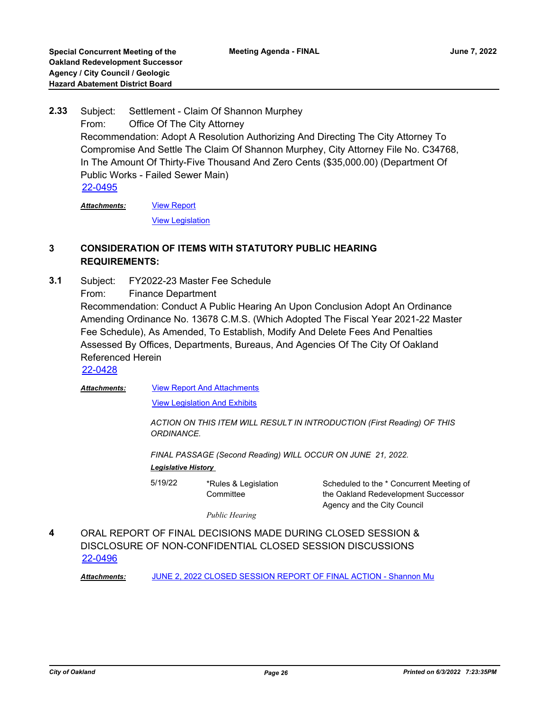Subject: Settlement - Claim Of Shannon Murphey From: Office Of The City Attorney Recommendation: Adopt A Resolution Authorizing And Directing The City Attorney To Compromise And Settle The Claim Of Shannon Murphey, City Attorney File No. C34768, In The Amount Of Thirty-Five Thousand And Zero Cents (\$35,000.00) (Department Of Public Works - Failed Sewer Main) **2.33** [22-0495](http://oakland.legistar.com/gateway.aspx?m=l&id=/matter.aspx?key=33415)

[View Report](http://oakland.legistar.com/gateway.aspx?M=F&ID=52ef20c3-f879-489f-ab10-a6b938176424.PDF) [View Legislation](http://oakland.legistar.com/gateway.aspx?M=F&ID=64c0d9e1-dc95-4a83-9f70-26d63838ab08.PDF) *Attachments:*

## **3 CONSIDERATION OF ITEMS WITH STATUTORY PUBLIC HEARING REQUIREMENTS:**

Subject: FY2022-23 Master Fee Schedule From: Finance Department Recommendation: Conduct A Public Hearing An Upon Conclusion Adopt An Ordinance Amending Ordinance No. 13678 C.M.S. (Which Adopted The Fiscal Year 2021-22 Master Fee Schedule), As Amended, To Establish, Modify And Delete Fees And Penalties Assessed By Offices, Departments, Bureaus, And Agencies Of The City Of Oakland Referenced Herein **3.1**

[22-0428](http://oakland.legistar.com/gateway.aspx?m=l&id=/matter.aspx?key=33349)

*Attachments:*

[View Report And Attachments](http://oakland.legistar.com/gateway.aspx?M=F&ID=9a78fb99-0936-4aa8-8dc3-bf3b273ad1b9.pdf)

[View Legislation And Exhibits](http://oakland.legistar.com/gateway.aspx?M=F&ID=4eac7a33-a4dd-421f-95b2-bad7340456d7.pdf)

*ACTION ON THIS ITEM WILL RESULT IN INTRODUCTION (First Reading) OF THIS ORDINANCE.* 

*FINAL PASSAGE (Second Reading) WILL OCCUR ON JUNE 21, 2022.*

*Legislative History* 

5/19/22 \*Rules & Legislation **Committee** 

Scheduled to the \* Concurrent Meeting of the Oakland Redevelopment Successor Agency and the City Council

*Public Hearing*

ORAL REPORT OF FINAL DECISIONS MADE DURING CLOSED SESSION & DISCLOSURE OF NON-CONFIDENTIAL CLOSED SESSION DISCUSSIONS **4** [22-0496](http://oakland.legistar.com/gateway.aspx?m=l&id=/matter.aspx?key=33416)

Attachments: **[JUNE 2, 2022 CLOSED SESSION REPORT OF FINAL ACTION - Shannon Mu](http://oakland.legistar.com/gateway.aspx?M=F&ID=2a0449ed-8e43-4b58-9c62-2b738c0a46d3.PDF)**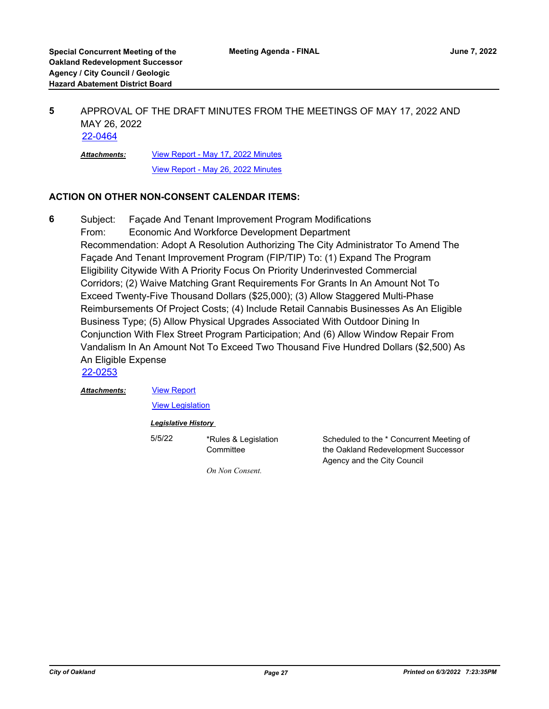#### APPROVAL OF THE DRAFT MINUTES FROM THE MEETINGS OF MAY 17, 2022 AND MAY 26, 2022 **5** [22-0464](http://oakland.legistar.com/gateway.aspx?m=l&id=/matter.aspx?key=33385)

[View Report - May 17, 2022 Minutes](http://oakland.legistar.com/gateway.aspx?M=F&ID=af22d1cf-5f70-4cc2-9aaf-7d04cbaa0d02.pdf) [View Report - May 26, 2022 Minutes](http://oakland.legistar.com/gateway.aspx?M=F&ID=bdea68e4-b6d2-4973-b928-86096eef55ab.pdf) *Attachments:*

### **ACTION ON OTHER NON-CONSENT CALENDAR ITEMS:**

Subject: Façade And Tenant Improvement Program Modifications From: Economic And Workforce Development Department Recommendation: Adopt A Resolution Authorizing The City Administrator To Amend The Façade And Tenant Improvement Program (FIP/TIP) To: (1) Expand The Program Eligibility Citywide With A Priority Focus On Priority Underinvested Commercial Corridors; (2) Waive Matching Grant Requirements For Grants In An Amount Not To Exceed Twenty-Five Thousand Dollars (\$25,000); (3) Allow Staggered Multi-Phase Reimbursements Of Project Costs; (4) Include Retail Cannabis Businesses As An Eligible Business Type; (5) Allow Physical Upgrades Associated With Outdoor Dining In Conjunction With Flex Street Program Participation; And (6) Allow Window Repair From Vandalism In An Amount Not To Exceed Two Thousand Five Hundred Dollars (\$2,500) As An Eligible Expense **6**

[22-0253](http://oakland.legistar.com/gateway.aspx?m=l&id=/matter.aspx?key=33174)

*Attachments:*

[View Report](http://oakland.legistar.com/gateway.aspx?M=F&ID=77afda58-3db1-472d-84e6-dcced16792d0.pdf)

[View Legislation](http://oakland.legistar.com/gateway.aspx?M=F&ID=d7ac5e28-b1c7-4494-a7f3-3a600bb9666e.pdf)

### *Legislative History*

5/5/22 \*Rules & Legislation **Committee** 

Scheduled to the \* Concurrent Meeting of the Oakland Redevelopment Successor Agency and the City Council

*On Non Consent.*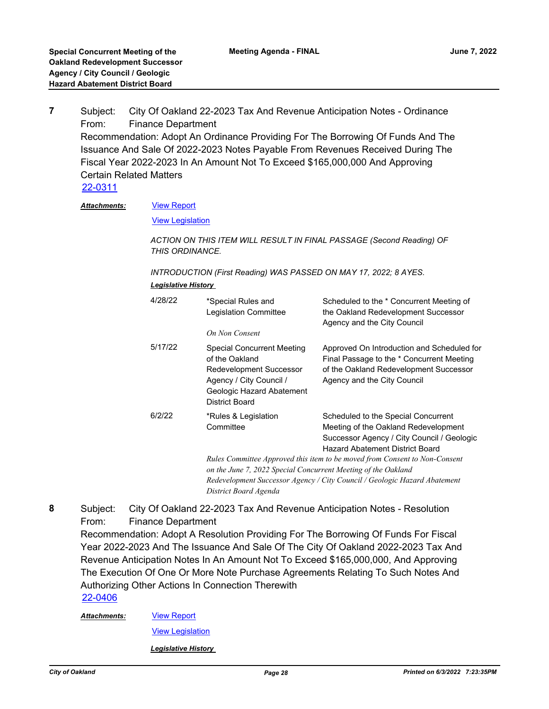Subject: City Of Oakland 22-2023 Tax And Revenue Anticipation Notes - Ordinance From: Finance Department Recommendation: Adopt An Ordinance Providing For The Borrowing Of Funds And The Issuance And Sale Of 2022-2023 Notes Payable From Revenues Received During The Fiscal Year 2022-2023 In An Amount Not To Exceed \$165,000,000 And Approving Certain Related Matters **7** [22-0311](http://oakland.legistar.com/gateway.aspx?m=l&id=/matter.aspx?key=33232)

#### [View Report](http://oakland.legistar.com/gateway.aspx?M=F&ID=1a4516fd-e606-4d91-834f-e603d52aa37b.pdf) *Attachments:*

**[View Legislation](http://oakland.legistar.com/gateway.aspx?M=F&ID=1ac4c886-c104-4de8-a3e3-6b66e3ac6ed8.pdf)** 

*ACTION ON THIS ITEM WILL RESULT IN FINAL PASSAGE (Second Reading) OF THIS ORDINANCE.*

*INTRODUCTION (First Reading) WAS PASSED ON MAY 17, 2022; 8 AYES. Legislative History* 

| 4/28/22 | *Special Rules and<br>Legislation Committee<br>On Non Consent                                                                                            | Scheduled to the * Concurrent Meeting of<br>the Oakland Redevelopment Successor<br>Agency and the City Council                                                                                                                                                                                                          |
|---------|----------------------------------------------------------------------------------------------------------------------------------------------------------|-------------------------------------------------------------------------------------------------------------------------------------------------------------------------------------------------------------------------------------------------------------------------------------------------------------------------|
| 5/17/22 | <b>Special Concurrent Meeting</b><br>of the Oakland<br>Redevelopment Successor<br>Agency / City Council /<br>Geologic Hazard Abatement<br>District Board | Approved On Introduction and Scheduled for<br>Final Passage to the * Concurrent Meeting<br>of the Oakland Redevelopment Successor<br>Agency and the City Council                                                                                                                                                        |
| 6/2/22  | *Rules & Legislation<br>Committee<br>on the June 7, 2022 Special Concurrent Meeting of the Oakland<br>District Board Agenda                              | Scheduled to the Special Concurrent<br>Meeting of the Oakland Redevelopment<br>Successor Agency / City Council / Geologic<br>Hazard Abatement District Board<br>Rules Committee Approved this item to be moved from Consent to Non-Consent<br>Redevelopment Successor Agency / City Council / Geologic Hazard Abatement |

Subject: City Of Oakland 22-2023 Tax And Revenue Anticipation Notes - Resolution From: Finance Department Recommendation: Adopt A Resolution Providing For The Borrowing Of Funds For Fiscal Year 2022-2023 And The Issuance And Sale Of The City Of Oakland 2022-2023 Tax And Revenue Anticipation Notes In An Amount Not To Exceed \$165,000,000, And Approving The Execution Of One Or More Note Purchase Agreements Relating To Such Notes And Authorizing Other Actions In Connection Therewith **8** [22-0406](http://oakland.legistar.com/gateway.aspx?m=l&id=/matter.aspx?key=33327)

[View Report](http://oakland.legistar.com/gateway.aspx?M=F&ID=84ed6fe3-0e38-4548-b2f1-5746a98aafcb.pdf) *Attachments:*

[View Legislation](http://oakland.legistar.com/gateway.aspx?M=F&ID=04532e72-c011-423b-be7c-d6c2d29bb936.pdf)

*Legislative History*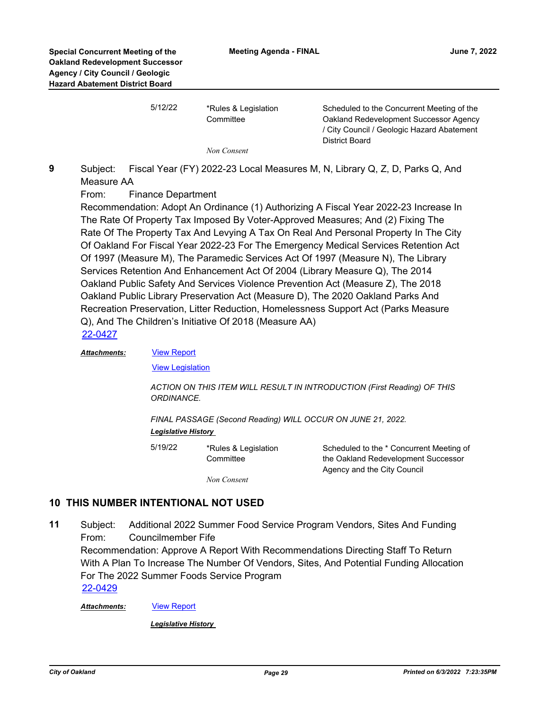| 5/12/22 | *Rules & Legislation<br>Committee | Scheduled to the Concurrent Meeting of the<br>Oakland Redevelopment Successor Agency<br>/ City Council / Geologic Hazard Abatement<br>District Board |
|---------|-----------------------------------|------------------------------------------------------------------------------------------------------------------------------------------------------|
|         | Non Consent                       |                                                                                                                                                      |

Subject: Fiscal Year (FY) 2022-23 Local Measures M, N, Library Q, Z, D, Parks Q, And Measure AA **9**

From: Finance Department

Recommendation: Adopt An Ordinance (1) Authorizing A Fiscal Year 2022-23 Increase In The Rate Of Property Tax Imposed By Voter-Approved Measures; And (2) Fixing The Rate Of The Property Tax And Levying A Tax On Real And Personal Property In The City Of Oakland For Fiscal Year 2022-23 For The Emergency Medical Services Retention Act Of 1997 (Measure M), The Paramedic Services Act Of 1997 (Measure N), The Library Services Retention And Enhancement Act Of 2004 (Library Measure Q), The 2014 Oakland Public Safety And Services Violence Prevention Act (Measure Z), The 2018 Oakland Public Library Preservation Act (Measure D), The 2020 Oakland Parks And Recreation Preservation, Litter Reduction, Homelessness Support Act (Parks Measure Q), And The Children's Initiative Of 2018 (Measure AA) [22-0427](http://oakland.legistar.com/gateway.aspx?m=l&id=/matter.aspx?key=33348)

#### *Attachments:*

[View Report](http://oakland.legistar.com/gateway.aspx?M=F&ID=f54b1cc3-0ceb-4619-98ee-55c76714d815.pdf) **[View Legislation](http://oakland.legistar.com/gateway.aspx?M=F&ID=32c254b5-9575-45fa-96bd-4a9b66abdc6c.pdf)** 

*ACTION ON THIS ITEM WILL RESULT IN INTRODUCTION (First Reading) OF THIS ORDINANCE.* 

*FINAL PASSAGE (Second Reading) WILL OCCUR ON JUNE 21, 2022. Legislative History* 

5/19/22 \*Rules & Legislation **Committee** Scheduled to the \* Concurrent Meeting of the Oakland Redevelopment Successor Agency and the City Council

*Non Consent*

## **10 THIS NUMBER INTENTIONAL NOT USED**

Subject: Additional 2022 Summer Food Service Program Vendors, Sites And Funding From: Councilmember Fife Recommendation: Approve A Report With Recommendations Directing Staff To Return With A Plan To Increase The Number Of Vendors, Sites, And Potential Funding Allocation For The 2022 Summer Foods Service Program **11** [22-0429](http://oakland.legistar.com/gateway.aspx?m=l&id=/matter.aspx?key=33350)

*Attachments:* [View Report](http://oakland.legistar.com/gateway.aspx?M=F&ID=215e703c-5727-4d6a-b36a-0eb348b7fea4.pdf)

*Legislative History*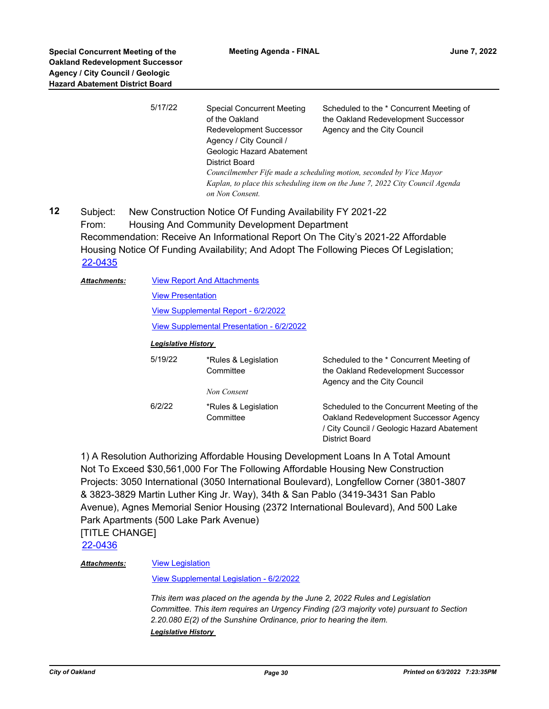**12**

|                              | 5/17/22                             | <b>Special Concurrent Meeting</b><br>of the Oakland<br>Redevelopment Successor<br>Agency / City Council /<br>Geologic Hazard Abatement<br><b>District Board</b> | Scheduled to the * Concurrent Meeting of<br>the Oakland Redevelopment Successor<br>Agency and the City Council                                                             |  |  |
|------------------------------|-------------------------------------|-----------------------------------------------------------------------------------------------------------------------------------------------------------------|----------------------------------------------------------------------------------------------------------------------------------------------------------------------------|--|--|
|                              |                                     | on Non Consent.                                                                                                                                                 | Councilmember Fife made a scheduling motion, seconded by Vice Mayor<br>Kaplan, to place this scheduling item on the June 7, 2022 City Council Agenda                       |  |  |
| Subject:<br>From:<br>22-0435 |                                     | New Construction Notice Of Funding Availability FY 2021-22<br>Housing And Community Development Department                                                      | Recommendation: Receive An Informational Report On The City's 2021-22 Affordable<br>Housing Notice Of Funding Availability; And Adopt The Following Pieces Of Legislation; |  |  |
| <b>Attachments:</b>          |                                     | <b>View Report And Attachments</b>                                                                                                                              |                                                                                                                                                                            |  |  |
|                              | <b>View Presentation</b>            |                                                                                                                                                                 |                                                                                                                                                                            |  |  |
|                              | View Supplemental Report - 6/2/2022 |                                                                                                                                                                 |                                                                                                                                                                            |  |  |
|                              |                                     | <b>View Supplemental Presentation - 6/2/2022</b>                                                                                                                |                                                                                                                                                                            |  |  |
|                              | <b>Legislative History</b>          |                                                                                                                                                                 |                                                                                                                                                                            |  |  |
|                              | 5/19/22                             | *Rules & Legislation<br>Committee                                                                                                                               | Scheduled to the * Concurrent Meeting of<br>the Oakland Redevelopment Successor<br>Agency and the City Council                                                             |  |  |
|                              |                                     | Non Consent                                                                                                                                                     |                                                                                                                                                                            |  |  |
|                              | 6/2/22                              | *Rules & Legislation<br>Committee                                                                                                                               | Scheduled to the Concurrent Meeting of the<br>Oakland Redevelopment Successor Agency<br>/ City Council / Geologic Hazard Abatement<br><b>District Board</b>                |  |  |

1) A Resolution Authorizing Affordable Housing Development Loans In A Total Amount Not To Exceed \$30,561,000 For The Following Affordable Housing New Construction Projects: 3050 International (3050 International Boulevard), Longfellow Corner (3801-3807 & 3823-3829 Martin Luther King Jr. Way), 34th & San Pablo (3419-3431 San Pablo Avenue), Agnes Memorial Senior Housing (2372 International Boulevard), And 500 Lake Park Apartments (500 Lake Park Avenue) [TITLE CHANGE]

[22-0436](http://oakland.legistar.com/gateway.aspx?m=l&id=/matter.aspx?key=33357)

#### **[View Legislation](http://oakland.legistar.com/gateway.aspx?M=F&ID=1341f698-014a-4b30-a649-9df73581d966.pdf)** *Attachments:*

[View Supplemental Legislation - 6/2/2022](http://oakland.legistar.com/gateway.aspx?M=F&ID=32edb327-940f-4d53-853d-e0cdfb3b026f.pdf)

*This item was placed on the agenda by the June 2, 2022 Rules and Legislation Committee. This item requires an Urgency Finding (2/3 majority vote) pursuant to Section 2.20.080 E(2) of the Sunshine Ordinance, prior to hearing the item. Legislative History*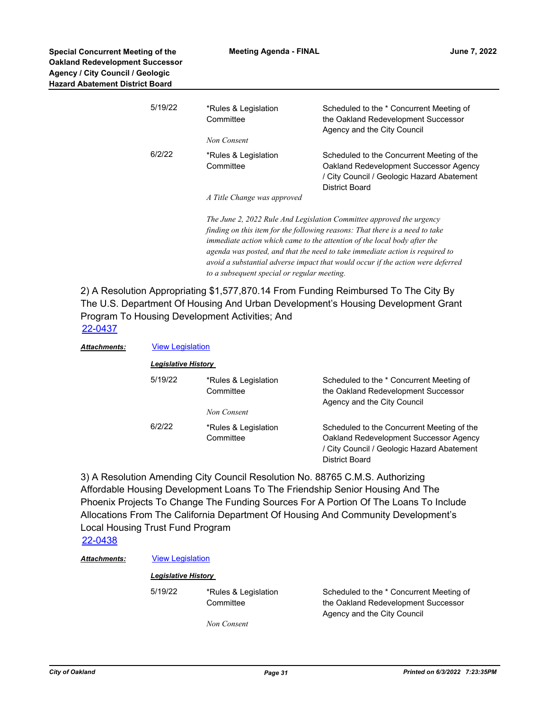| 5/19/22 | *Rules & Legislation<br>Committee | Scheduled to the * Concurrent Meeting of<br>the Oakland Redevelopment Successor<br>Agency and the City Council                                                                                                                                                                                                                                                                                      |
|---------|-----------------------------------|-----------------------------------------------------------------------------------------------------------------------------------------------------------------------------------------------------------------------------------------------------------------------------------------------------------------------------------------------------------------------------------------------------|
|         | Non Consent                       |                                                                                                                                                                                                                                                                                                                                                                                                     |
| 6/2/22  | *Rules & Legislation<br>Committee | Scheduled to the Concurrent Meeting of the<br>Oakland Redevelopment Successor Agency<br>/ City Council / Geologic Hazard Abatement<br>District Board                                                                                                                                                                                                                                                |
|         | A Title Change was approved       |                                                                                                                                                                                                                                                                                                                                                                                                     |
|         |                                   | The June 2, 2022 Rule And Legislation Committee approved the urgency<br>finding on this item for the following reasons: That there is a need to take<br>immediate action which came to the attention of the local body after the<br>agenda was posted, and that the need to take immediate action is required to<br>avoid a substantial adverse impact that would occur if the action were deferred |

2) A Resolution Appropriating \$1,577,870.14 From Funding Reimbursed To The City By The U.S. Department Of Housing And Urban Development's Housing Development Grant Program To Housing Development Activities; And [22-0437](http://oakland.legistar.com/gateway.aspx?m=l&id=/matter.aspx?key=33358)

*to a subsequent special or regular meeting.*

| Attachments: |                     | <b>View Legislation</b>           |                                                                                                                                                      |  |  |
|--------------|---------------------|-----------------------------------|------------------------------------------------------------------------------------------------------------------------------------------------------|--|--|
|              | Legislative History |                                   |                                                                                                                                                      |  |  |
|              | 5/19/22             | *Rules & Legislation<br>Committee | Scheduled to the * Concurrent Meeting of<br>the Oakland Redevelopment Successor<br>Agency and the City Council                                       |  |  |
|              |                     | Non Consent                       |                                                                                                                                                      |  |  |
|              | 6/2/22              | *Rules & Legislation<br>Committee | Scheduled to the Concurrent Meeting of the<br>Oakland Redevelopment Successor Agency<br>/ City Council / Geologic Hazard Abatement<br>District Board |  |  |

3) A Resolution Amending City Council Resolution No. 88765 C.M.S. Authorizing Affordable Housing Development Loans To The Friendship Senior Housing And The Phoenix Projects To Change The Funding Sources For A Portion Of The Loans To Include Allocations From The California Department Of Housing And Community Development's Local Housing Trust Fund Program

## [22-0438](http://oakland.legistar.com/gateway.aspx?m=l&id=/matter.aspx?key=33359)

### **Attachments:** [View Legislation](http://oakland.legistar.com/gateway.aspx?M=F&ID=9c9c985e-e7fb-4e82-8475-0ef6fae3d573.pdf)

### *Legislative History*

5/19/22 \*Rules & Legislation

**Committee** 

Scheduled to the \* Concurrent Meeting of the Oakland Redevelopment Successor Agency and the City Council

*Non Consent*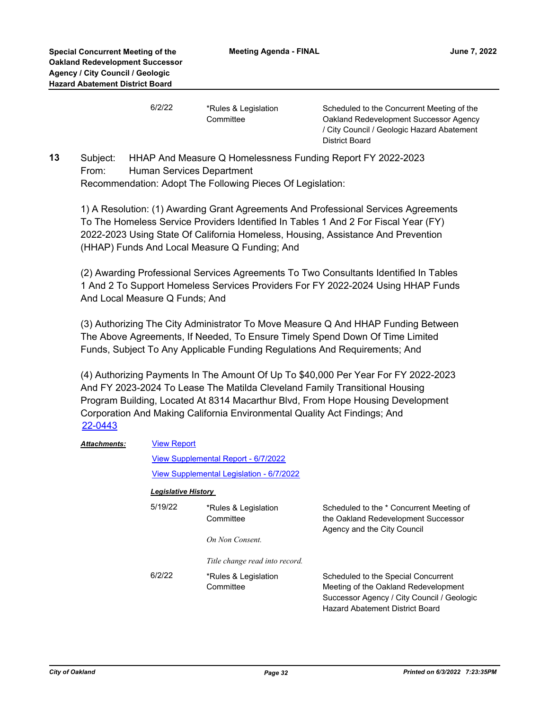6/2/22 \*Rules & Legislation **Committee** 

Scheduled to the Concurrent Meeting of the Oakland Redevelopment Successor Agency / City Council / Geologic Hazard Abatement District Board

Subject: HHAP And Measure Q Homelessness Funding Report FY 2022-2023 From: Human Services Department Recommendation: Adopt The Following Pieces Of Legislation: **13**

1) A Resolution: (1) Awarding Grant Agreements And Professional Services Agreements To The Homeless Service Providers Identified In Tables 1 And 2 For Fiscal Year (FY) 2022-2023 Using State Of California Homeless, Housing, Assistance And Prevention (HHAP) Funds And Local Measure Q Funding; And

(2) Awarding Professional Services Agreements To Two Consultants Identified In Tables 1 And 2 To Support Homeless Services Providers For FY 2022-2024 Using HHAP Funds And Local Measure Q Funds; And

(3) Authorizing The City Administrator To Move Measure Q And HHAP Funding Between The Above Agreements, If Needed, To Ensure Timely Spend Down Of Time Limited Funds, Subject To Any Applicable Funding Regulations And Requirements; And

(4) Authorizing Payments In The Amount Of Up To \$40,000 Per Year For FY 2022-2023 And FY 2023-2024 To Lease The Matilda Cleveland Family Transitional Housing Program Building, Located At 8314 Macarthur Blvd, From Hope Housing Development Corporation And Making California Environmental Quality Act Findings; And [22-0443](http://oakland.legistar.com/gateway.aspx?m=l&id=/matter.aspx?key=33364)

| <b>Attachments:</b> | <b>View Report</b>         |                                                                                 |                                                                                                                                                              |  |
|---------------------|----------------------------|---------------------------------------------------------------------------------|--------------------------------------------------------------------------------------------------------------------------------------------------------------|--|
|                     |                            | View Supplemental Report - 6/7/2022<br>View Supplemental Legislation - 6/7/2022 |                                                                                                                                                              |  |
|                     |                            |                                                                                 |                                                                                                                                                              |  |
|                     | <b>Legislative History</b> |                                                                                 |                                                                                                                                                              |  |
|                     | 5/19/22                    | *Rules & Legislation<br>Committee                                               | Scheduled to the * Concurrent Meeting of<br>the Oakland Redevelopment Successor<br>Agency and the City Council                                               |  |
|                     |                            | On Non Consent.                                                                 |                                                                                                                                                              |  |
|                     |                            | Title change read into record.                                                  |                                                                                                                                                              |  |
|                     | 6/2/22                     | *Rules & Legislation<br>Committee                                               | Scheduled to the Special Concurrent<br>Meeting of the Oakland Redevelopment<br>Successor Agency / City Council / Geologic<br>Hazard Abatement District Board |  |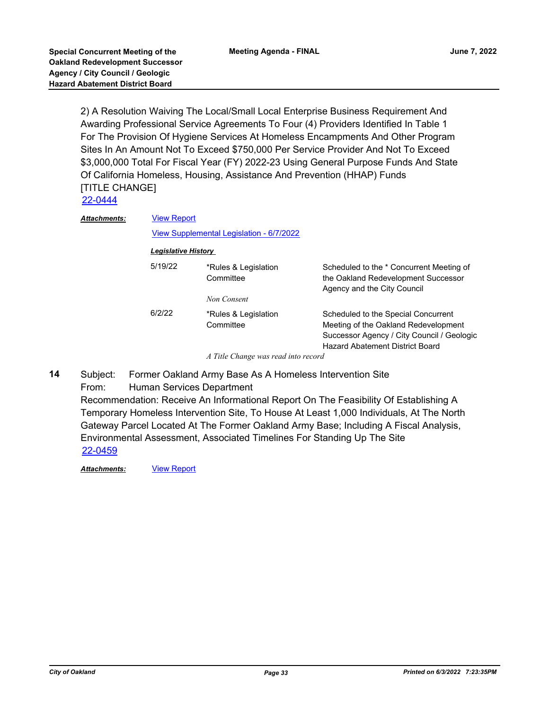2) A Resolution Waiving The Local/Small Local Enterprise Business Requirement And Awarding Professional Service Agreements To Four (4) Providers Identified In Table 1 For The Provision Of Hygiene Services At Homeless Encampments And Other Program Sites In An Amount Not To Exceed \$750,000 Per Service Provider And Not To Exceed \$3,000,000 Total For Fiscal Year (FY) 2022-23 Using General Purpose Funds And State Of California Homeless, Housing, Assistance And Prevention (HHAP) Funds [TITLE CHANGE]

[22-0444](http://oakland.legistar.com/gateway.aspx?m=l&id=/matter.aspx?key=33365)

| Attachments: |                            | <b>View Report</b>                               |                                                                                                                              |  |  |  |
|--------------|----------------------------|--------------------------------------------------|------------------------------------------------------------------------------------------------------------------------------|--|--|--|
|              |                            | View Supplemental Legislation - 6/7/2022         |                                                                                                                              |  |  |  |
|              | <b>Legislative History</b> |                                                  |                                                                                                                              |  |  |  |
|              | 5/19/22                    | *Rules & Legislation<br>Committee<br>Non Consent | Scheduled to the * Concurrent Meeting of<br>the Oakland Redevelopment Successor<br>Agency and the City Council               |  |  |  |
|              | 6/2/22                     | *Rules & Legislation                             | Scheduled to the Special Concurrent                                                                                          |  |  |  |
|              |                            | Committee                                        | Meeting of the Oakland Redevelopment<br>Successor Agency / City Council / Geologic<br><b>Hazard Abatement District Board</b> |  |  |  |
|              |                            | A Title Change was read into record              |                                                                                                                              |  |  |  |

*A Title Change was read into record*

Subject: Former Oakland Army Base As A Homeless Intervention Site From: Human Services Department Recommendation: Receive An Informational Report On The Feasibility Of Establishing A Temporary Homeless Intervention Site, To House At Least 1,000 Individuals, At The North Gateway Parcel Located At The Former Oakland Army Base; Including A Fiscal Analysis, Environmental Assessment, Associated Timelines For Standing Up The Site **14** [22-0459](http://oakland.legistar.com/gateway.aspx?m=l&id=/matter.aspx?key=33380)

Attachments: **[View Report](http://oakland.legistar.com/gateway.aspx?M=F&ID=a7311a96-52a6-4eb4-92f8-67f43bc0371f.pdf)**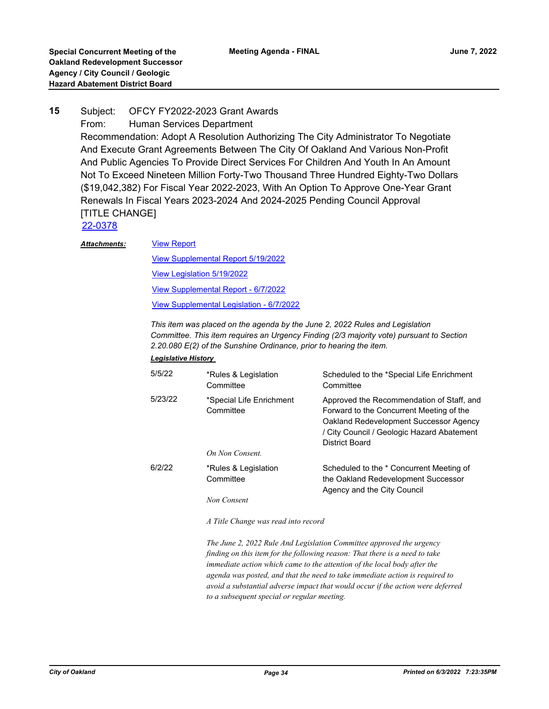## Subject: OFCY FY2022-2023 Grant Awards From: Human Services Department Recommendation: Adopt A Resolution Authorizing The City Administrator To Negotiate And Execute Grant Agreements Between The City Of Oakland And Various Non-Profit And Public Agencies To Provide Direct Services For Children And Youth In An Amount Not To Exceed Nineteen Million Forty-Two Thousand Three Hundred Eighty-Two Dollars (\$19,042,382) For Fiscal Year 2022-2023, With An Option To Approve One-Year Grant Renewals In Fiscal Years 2023-2024 And 2024-2025 Pending Council Approval [TITLE CHANGE] **15** [22-0378](http://oakland.legistar.com/gateway.aspx?m=l&id=/matter.aspx?key=33299)

#### [View Report](http://oakland.legistar.com/gateway.aspx?M=F&ID=9ff4777f-7a27-45b6-a281-8f259d9bbd30.pdf) *Attachments:*

[View Supplemental Report 5/19/2022](http://oakland.legistar.com/gateway.aspx?M=F&ID=70b55ab1-982f-453e-b567-155090a6f5ab.pdf) [View Legislation 5/19/2022](http://oakland.legistar.com/gateway.aspx?M=F&ID=bd421f21-676e-4d00-bb9e-696070e12fdc.pdf) [View Supplemental Report - 6/7/2022](http://oakland.legistar.com/gateway.aspx?M=F&ID=b4f0025d-d3b3-4183-b6ea-7173c88e26ae.pdf) [View Supplemental Legislation - 6/7/2022](http://oakland.legistar.com/gateway.aspx?M=F&ID=f0e0f24b-0a0f-433c-b736-b7ef96a0df4a.PDF)

*This item was placed on the agenda by the June 2, 2022 Rules and Legislation Committee. This item requires an Urgency Finding (2/3 majority vote) pursuant to Section 2.20.080 E(2) of the Sunshine Ordinance, prior to hearing the item.*

#### *Legislative History*

| 5/5/22  | *Rules & Legislation<br>Committee     | Scheduled to the *Special Life Enrichment<br>Committee                                                                                                                                          |
|---------|---------------------------------------|-------------------------------------------------------------------------------------------------------------------------------------------------------------------------------------------------|
| 5/23/22 | *Special Life Enrichment<br>Committee | Approved the Recommendation of Staff, and<br>Forward to the Concurrent Meeting of the<br>Oakland Redevelopment Successor Agency<br>/ City Council / Geologic Hazard Abatement<br>District Board |
|         | On Non Consent.                       |                                                                                                                                                                                                 |
| 6/2/22  | *Rules & Legislation<br>Committee     | Scheduled to the * Concurrent Meeting of<br>the Oakland Redevelopment Successor<br>Agency and the City Council                                                                                  |
|         | Non Consent                           |                                                                                                                                                                                                 |
|         | A Title Change was read into record   |                                                                                                                                                                                                 |

*The June 2, 2022 Rule And Legislation Committee approved the urgency finding on this item for the following reason: That there is a need to take immediate action which came to the attention of the local body after the agenda was posted, and that the need to take immediate action is required to avoid a substantial adverse impact that would occur if the action were deferred to a subsequent special or regular meeting.*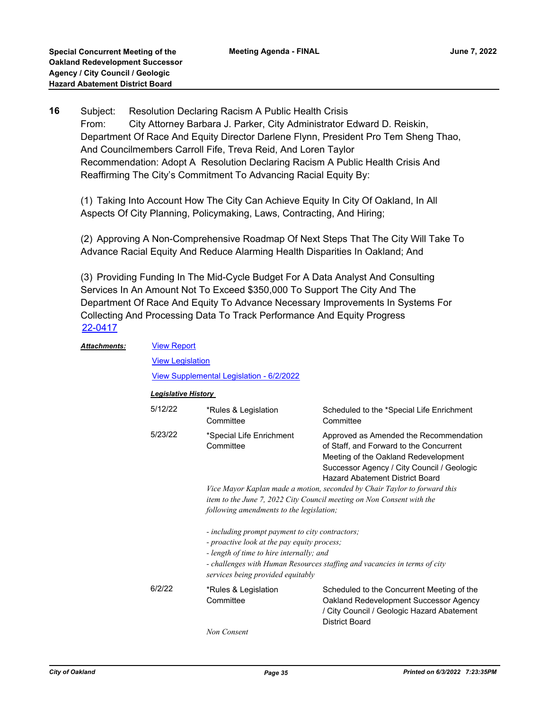Subject: Resolution Declaring Racism A Public Health Crisis From: City Attorney Barbara J. Parker, City Administrator Edward D. Reiskin, Department Of Race And Equity Director Darlene Flynn, President Pro Tem Sheng Thao, And Councilmembers Carroll Fife, Treva Reid, And Loren Taylor Recommendation: Adopt A Resolution Declaring Racism A Public Health Crisis And Reaffirming The City's Commitment To Advancing Racial Equity By: **16**

(1) Taking Into Account How The City Can Achieve Equity In City Of Oakland, In All Aspects Of City Planning, Policymaking, Laws, Contracting, And Hiring;

(2) Approving A Non-Comprehensive Roadmap Of Next Steps That The City Will Take To Advance Racial Equity And Reduce Alarming Health Disparities In Oakland; And

(3) Providing Funding In The Mid-Cycle Budget For A Data Analyst And Consulting Services In An Amount Not To Exceed \$350,000 To Support The City And The Department Of Race And Equity To Advance Necessary Improvements In Systems For Collecting And Processing Data To Track Performance And Equity Progress [22-0417](http://oakland.legistar.com/gateway.aspx?m=l&id=/matter.aspx?key=33338)

| Attachments: | <b>View Report</b>         |                                                                                                                                                                                                                                                              |                                                                                                                                                                                                                   |  |
|--------------|----------------------------|--------------------------------------------------------------------------------------------------------------------------------------------------------------------------------------------------------------------------------------------------------------|-------------------------------------------------------------------------------------------------------------------------------------------------------------------------------------------------------------------|--|
|              | <b>View Legislation</b>    |                                                                                                                                                                                                                                                              |                                                                                                                                                                                                                   |  |
|              |                            | View Supplemental Legislation - 6/2/2022                                                                                                                                                                                                                     |                                                                                                                                                                                                                   |  |
|              | <b>Legislative History</b> |                                                                                                                                                                                                                                                              |                                                                                                                                                                                                                   |  |
|              | 5/12/22                    | *Rules & Legislation<br>Committee                                                                                                                                                                                                                            | Scheduled to the *Special Life Enrichment<br>Committee                                                                                                                                                            |  |
|              | 5/23/22                    | *Special Life Enrichment<br>Committee                                                                                                                                                                                                                        | Approved as Amended the Recommendation<br>of Staff, and Forward to the Concurrent<br>Meeting of the Oakland Redevelopment<br>Successor Agency / City Council / Geologic<br><b>Hazard Abatement District Board</b> |  |
|              |                            | Vice Mayor Kaplan made a motion, seconded by Chair Taylor to forward this                                                                                                                                                                                    |                                                                                                                                                                                                                   |  |
|              |                            | item to the June 7, 2022 City Council meeting on Non Consent with the                                                                                                                                                                                        |                                                                                                                                                                                                                   |  |
|              |                            | following amendments to the legislation;                                                                                                                                                                                                                     |                                                                                                                                                                                                                   |  |
|              |                            | - including prompt payment to city contractors;<br>- proactive look at the pay equity process;<br>- length of time to hire internally; and<br>- challenges with Human Resources staffing and vacancies in terms of city<br>services being provided equitably |                                                                                                                                                                                                                   |  |
|              | 6/2/22                     | *Rules & Legislation<br>Committee                                                                                                                                                                                                                            | Scheduled to the Concurrent Meeting of the<br>Oakland Redevelopment Successor Agency<br>/ City Council / Geologic Hazard Abatement<br><b>District Board</b>                                                       |  |
|              |                            | Non Consent                                                                                                                                                                                                                                                  |                                                                                                                                                                                                                   |  |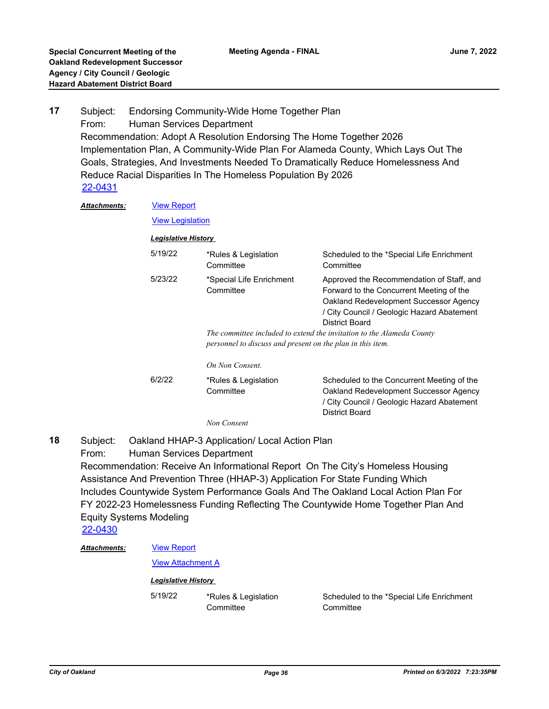Subject: Endorsing Community-Wide Home Together Plan From: Human Services Department Recommendation: Adopt A Resolution Endorsing The Home Together 2026 Implementation Plan, A Community-Wide Plan For Alameda County, Which Lays Out The Goals, Strategies, And Investments Needed To Dramatically Reduce Homelessness And Reduce Racial Disparities In The Homeless Population By 2026 **17** [22-0431](http://oakland.legistar.com/gateway.aspx?m=l&id=/matter.aspx?key=33352)

| <b>Attachments:</b> | <b>View Report</b>         |                                                                                                                                     |                                                                                                                                                                                                 |
|---------------------|----------------------------|-------------------------------------------------------------------------------------------------------------------------------------|-------------------------------------------------------------------------------------------------------------------------------------------------------------------------------------------------|
|                     | <b>View Legislation</b>    |                                                                                                                                     |                                                                                                                                                                                                 |
|                     | <b>Legislative History</b> |                                                                                                                                     |                                                                                                                                                                                                 |
|                     | 5/19/22                    | *Rules & Legislation<br>Committee                                                                                                   | Scheduled to the *Special Life Enrichment<br>Committee                                                                                                                                          |
|                     | 5/23/22                    | *Special Life Enrichment<br>Committee                                                                                               | Approved the Recommendation of Staff, and<br>Forward to the Concurrent Meeting of the<br>Oakland Redevelopment Successor Agency<br>/ City Council / Geologic Hazard Abatement<br>District Board |
|                     |                            | The committee included to extend the invitation to the Alameda County<br>personnel to discuss and present on the plan in this item. |                                                                                                                                                                                                 |
|                     |                            | On Non Consent.                                                                                                                     |                                                                                                                                                                                                 |
|                     | 6/2/22                     | *Rules & Legislation<br>Committee                                                                                                   | Scheduled to the Concurrent Meeting of the<br>Oakland Redevelopment Successor Agency<br>/ City Council / Geologic Hazard Abatement<br>District Board                                            |

*Non Consent*

Subject: Oakland HHAP-3 Application/ Local Action Plan From: Human Services Department Recommendation: Receive An Informational Report On The City's Homeless Housing Assistance And Prevention Three (HHAP-3) Application For State Funding Which Includes Countywide System Performance Goals And The Oakland Local Action Plan For FY 2022-23 Homelessness Funding Reflecting The Countywide Home Together Plan And Equity Systems Modeling **18** [22-0430](http://oakland.legistar.com/gateway.aspx?m=l&id=/matter.aspx?key=33351)

[View Report](http://oakland.legistar.com/gateway.aspx?M=F&ID=c3b043e2-96af-4ba6-ba72-a7fd445f9309.pdf) [View Attachment A](http://oakland.legistar.com/gateway.aspx?M=F&ID=28ca1ee8-6eba-4155-9849-3c996ae22f36.pdf) *Attachments: Legislative History*  5/19/22 \*Rules & Legislation **Committee** Scheduled to the \*Special Life Enrichment **Committee**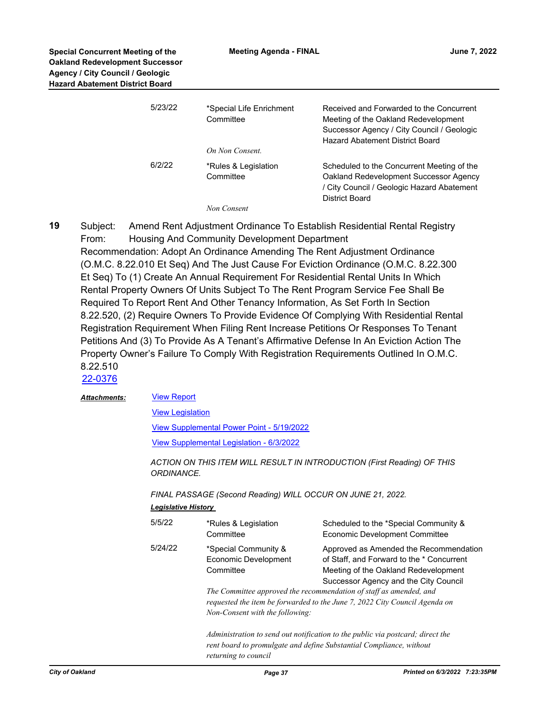| 5/23/22 | *Special Life Enrichment<br>Committee<br>On Non Consent. | Received and Forwarded to the Concurrent<br>Meeting of the Oakland Redevelopment<br>Successor Agency / City Council / Geologic<br><b>Hazard Abatement District Board</b> |
|---------|----------------------------------------------------------|--------------------------------------------------------------------------------------------------------------------------------------------------------------------------|
| 6/2/22  | *Rules & Legislation<br>Committee<br>Non Consent         | Scheduled to the Concurrent Meeting of the<br>Oakland Redevelopment Successor Agency<br>/ City Council / Geologic Hazard Abatement<br>District Board                     |

Subject: Amend Rent Adjustment Ordinance To Establish Residential Rental Registry From: Housing And Community Development Department Recommendation: Adopt An Ordinance Amending The Rent Adjustment Ordinance (O.M.C. 8.22.010 Et Seq) And The Just Cause For Eviction Ordinance (O.M.C. 8.22.300 Et Seq) To (1) Create An Annual Requirement For Residential Rental Units In Which Rental Property Owners Of Units Subject To The Rent Program Service Fee Shall Be Required To Report Rent And Other Tenancy Information, As Set Forth In Section 8.22.520, (2) Require Owners To Provide Evidence Of Complying With Residential Rental Registration Requirement When Filing Rent Increase Petitions Or Responses To Tenant Petitions And (3) To Provide As A Tenant's Affirmative Defense In An Eviction Action The Property Owner's Failure To Comply With Registration Requirements Outlined In O.M.C. 8.22.510 **19**

## [22-0376](http://oakland.legistar.com/gateway.aspx?m=l&id=/matter.aspx?key=33297)

#### [View Report](http://oakland.legistar.com/gateway.aspx?M=F&ID=c4937fb0-c6c5-4555-aca8-e00019d019fd.pdf) *Attachments:*

[View Legislation](http://oakland.legistar.com/gateway.aspx?M=F&ID=01891bac-9595-448f-850c-566070d73580.PDF)

[View Supplemental Power Point - 5/19/2022](http://oakland.legistar.com/gateway.aspx?M=F&ID=d1764194-7df1-4567-bbf8-0b7eaeb37a35.pdf)

[View Supplemental Legislation - 6/3/2022](http://oakland.legistar.com/gateway.aspx?M=F&ID=ea0f8918-6535-402c-a903-8450d01efddc.pdf)

*ACTION ON THIS ITEM WILL RESULT IN INTRODUCTION (First Reading) OF THIS ORDINANCE.* 

*FINAL PASSAGE (Second Reading) WILL OCCUR ON JUNE 21, 2022.*

| <b>Legislative History</b> |                                                                                              |                                                                                                                                                                                                                                                                                                                                                                                                            |  |
|----------------------------|----------------------------------------------------------------------------------------------|------------------------------------------------------------------------------------------------------------------------------------------------------------------------------------------------------------------------------------------------------------------------------------------------------------------------------------------------------------------------------------------------------------|--|
| 5/5/22                     | *Rules & Legislation<br>Committee                                                            | Scheduled to the *Special Community &<br>Economic Development Committee                                                                                                                                                                                                                                                                                                                                    |  |
| 5/24/22                    | *Special Community &<br>Economic Development<br>Committee<br>Non-Consent with the following: | Approved as Amended the Recommendation<br>of Staff, and Forward to the * Concurrent<br>Meeting of the Oakland Redevelopment<br>Successor Agency and the City Council<br>The Committee approved the recommendation of staff as amended, and<br>requested the item be forwarded to the June 7, 2022 City Council Agenda on<br>Administration to send out notification to the public via postcard; direct the |  |
|                            | rent board to promulgate and define Substantial Compliance, without                          |                                                                                                                                                                                                                                                                                                                                                                                                            |  |

*returning to council*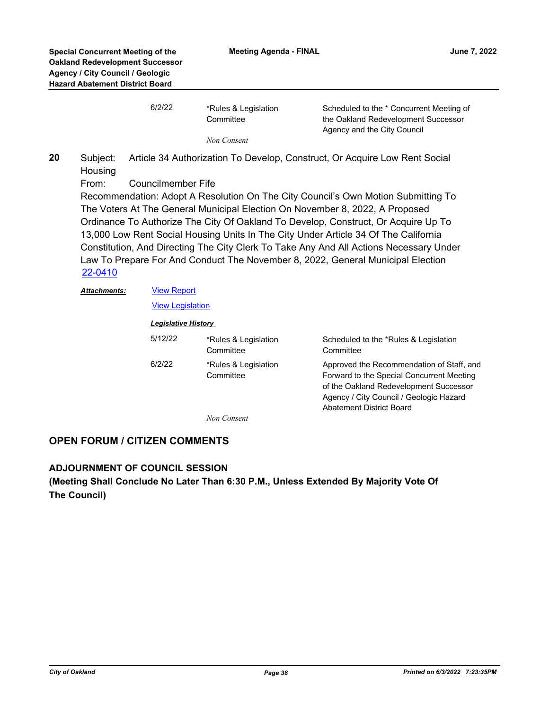| 6/2/22 | *Rules & Legislation | Scheduled to the * Concurrent Meeting of |
|--------|----------------------|------------------------------------------|
|        | Committee            | the Oakland Redevelopment Successor      |
|        |                      | Agency and the City Council              |
|        | Non Consent          |                                          |

Subject: Article 34 Authorization To Develop, Construct, Or Acquire Low Rent Social **Housing 20**

From: Councilmember Fife

Recommendation: Adopt A Resolution On The City Council's Own Motion Submitting To The Voters At The General Municipal Election On November 8, 2022, A Proposed Ordinance To Authorize The City Of Oakland To Develop, Construct, Or Acquire Up To 13,000 Low Rent Social Housing Units In The City Under Article 34 Of The California Constitution, And Directing The City Clerk To Take Any And All Actions Necessary Under Law To Prepare For And Conduct The November 8, 2022, General Municipal Election [22-0410](http://oakland.legistar.com/gateway.aspx?m=l&id=/matter.aspx?key=33331)

[View Legislation](http://oakland.legistar.com/gateway.aspx?M=F&ID=65e7059d-f9e1-44fd-9540-e20f2f156271.pdf)

### *Legislative History*

| 5/12/22 | *Rules & Legislation<br>Committee | Scheduled to the *Rules & Legislation<br>Committee                                                                                                                                                             |
|---------|-----------------------------------|----------------------------------------------------------------------------------------------------------------------------------------------------------------------------------------------------------------|
| 6/2/22  | *Rules & Legislation<br>Committee | Approved the Recommendation of Staff, and<br>Forward to the Special Concurrent Meeting<br>of the Oakland Redevelopment Successor<br>Agency / City Council / Geologic Hazard<br><b>Abatement District Board</b> |

*Non Consent*

## **OPEN FORUM / CITIZEN COMMENTS**

### **ADJOURNMENT OF COUNCIL SESSION**

**(Meeting Shall Conclude No Later Than 6:30 P.M., Unless Extended By Majority Vote Of The Council)**